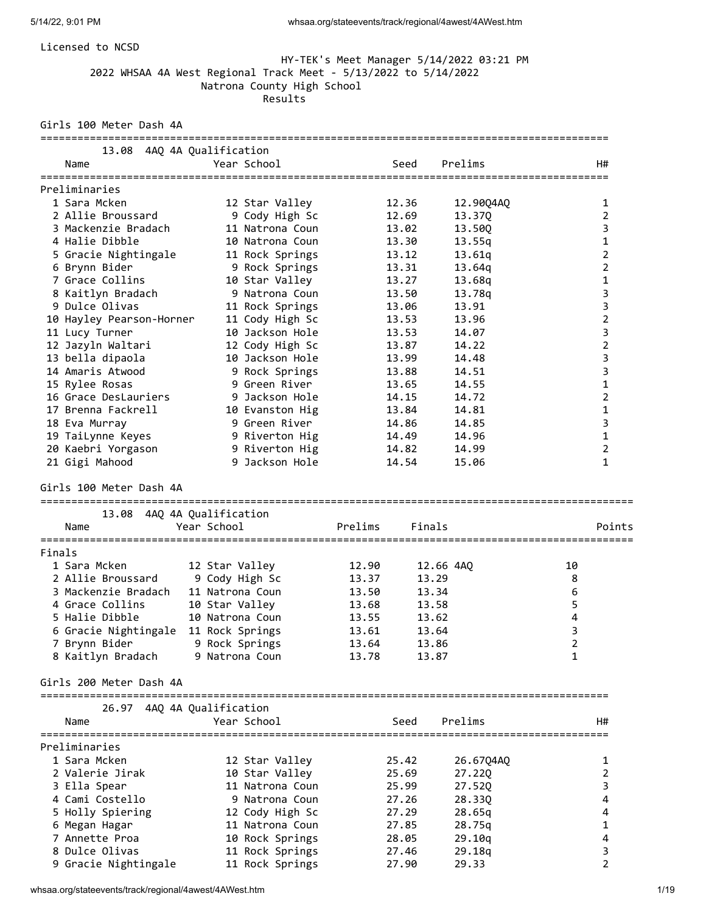### Licensed to NCSD

### HY-TEK's Meet Manager 5/14/2022 03:21 PM 2022 WHSAA 4A West Regional Track Meet - 5/13/2022 to 5/14/2022 Natrona County High School **Results Results**

Girls 100 Meter Dash 4A

| Name                                  | 13.08 4AQ 4A Qualification<br>Year School | Seed           | Prelims        | H#             |
|---------------------------------------|-------------------------------------------|----------------|----------------|----------------|
| ===================<br>Preliminaries  |                                           |                |                |                |
| 1 Sara Mcken                          | 12 Star Valley                            | 12.36          | 12.90Q4AQ      | 1              |
| 2 Allie Broussard                     | 9 Cody High Sc                            | 12.69          | 13.370         | $\overline{2}$ |
| 3 Mackenzie Bradach                   | 11 Natrona Coun                           | 13.02          | 13.50Q         | 3              |
| 4 Halie Dibble                        | 10 Natrona Coun                           | 13.30          | 13.55q         | $\mathbf{1}$   |
| 5 Gracie Nightingale                  | 11 Rock Springs                           | 13.12          | 13.61q         | $\overline{2}$ |
| 6 Brynn Bider                         | 9 Rock Springs                            | 13.31          | 13.64q         | $\overline{2}$ |
| 7 Grace Collins                       | 10 Star Valley                            | 13.27          | 13.68q         | 1              |
| 8 Kaitlyn Bradach                     | 9 Natrona Coun                            | 13.50          | 13.78g         | 3              |
| 9 Dulce Olivas                        | 11 Rock Springs                           | 13.06          | 13.91          | 3              |
| 10 Hayley Pearson-Horner              | 11 Cody High Sc                           | 13.53          | 13.96          | $\overline{2}$ |
| 11 Lucy Turner                        | 10 Jackson Hole                           | 13.53          | 14.07          | 3              |
| 12 Jazyln Waltari                     | 12 Cody High Sc                           | 13.87          | 14.22          | $\overline{2}$ |
| 13 bella dipaola                      | 10 Jackson Hole                           | 13.99          | 14.48          | 3              |
| 14 Amaris Atwood                      | 9 Rock Springs                            | 13.88          | 14.51          | 3              |
| 15 Rylee Rosas                        | 9 Green River                             | 13.65          | 14.55          | 1              |
| 16 Grace DesLauriers                  | 9 Jackson Hole                            | 14.15          | 14.72          | $\overline{2}$ |
| 17 Brenna Fackrell                    | 10 Evanston Hig                           | 13.84          | 14.81          | 1              |
| 18 Eva Murray                         | 9 Green River                             | 14.86          | 14.85          | 3              |
| 19 TaiLynne Keyes                     | 9 Riverton Hig                            | 14.49          | 14.96          | $\mathbf{1}$   |
| 20 Kaebri Yorgason                    | 9 Riverton Hig                            | 14.82          | 14.99          | $\overline{2}$ |
| 21 Gigi Mahood                        | 9 Jackson Hole                            | 14.54          | 15.06          | $\mathbf{1}$   |
| Girls 100 Meter Dash 4A               |                                           |                |                |                |
| ===================                   | 13.08 4AQ 4A Qualification                |                |                |                |
| Name                                  | Year School                               | Prelims        | Finals         | Points         |
| =================                     |                                           |                |                |                |
| Finals<br>1 Sara Mcken                |                                           |                |                | 10             |
| 2 Allie Broussard                     | 12 Star Valley                            | 12.90          | 12.66 4AQ      |                |
| 3 Mackenzie Bradach                   | 9 Cody High Sc                            | 13.37          | 13.29          | 8              |
| 4 Grace Collins                       | 11 Natrona Coun                           | 13.50          | 13.34          | 6              |
| 5 Halie Dibble                        | 10 Star Valley<br>10 Natrona Coun         | 13.68<br>13.55 | 13.58<br>13.62 | 5<br>4         |
|                                       |                                           |                |                | 3              |
| 6 Gracie Nightingale<br>7 Brynn Bider | 11 Rock Springs<br>9 Rock Springs         | 13.61<br>13.64 | 13.64<br>13.86 | $\overline{2}$ |
| 8 Kaitlyn Bradach                     | 9 Natrona Coun                            | 13.78          | 13.87          | 1              |
|                                       |                                           |                |                |                |
| Girls 200 Meter Dash 4A               |                                           |                |                |                |
|                                       | 26.97 4AQ 4A Qualification                |                |                |                |
| Name                                  | Year School                               | Seed           | Prelims        | H#             |
| Preliminaries                         |                                           |                |                |                |
| 1 Sara Mcken                          | 12 Star Valley                            | 25.42          | 26.67Q4AQ      | 1              |
| 2 Valerie Jirak                       | 10 Star Valley                            | 25.69          | 27.22Q         | 2              |
| 3 Ella Spear                          | 11 Natrona Coun                           | 25.99          | 27.52Q         | 3              |
| 4 Cami Costello                       | 9 Natrona Coun                            | 27.26          | 28.33Q         | 4              |
| 5 Holly Spiering                      | 12 Cody High Sc                           | 27.29          | 28.65q         | 4              |
| 6 Megan Hagar                         | 11 Natrona Coun                           | 27.85          | 28.75q         | 1              |
| 7 Annette Proa                        | 10 Rock Springs                           | 28.05          | 29.10q         | 4              |
| 8 Dulce Olivas                        | 11 Rock Springs                           | 27.46          | 29.18q         | 3              |
| 9 Gracie Nightingale                  | 11 Rock Springs                           | 27.90          | 29.33          | 2              |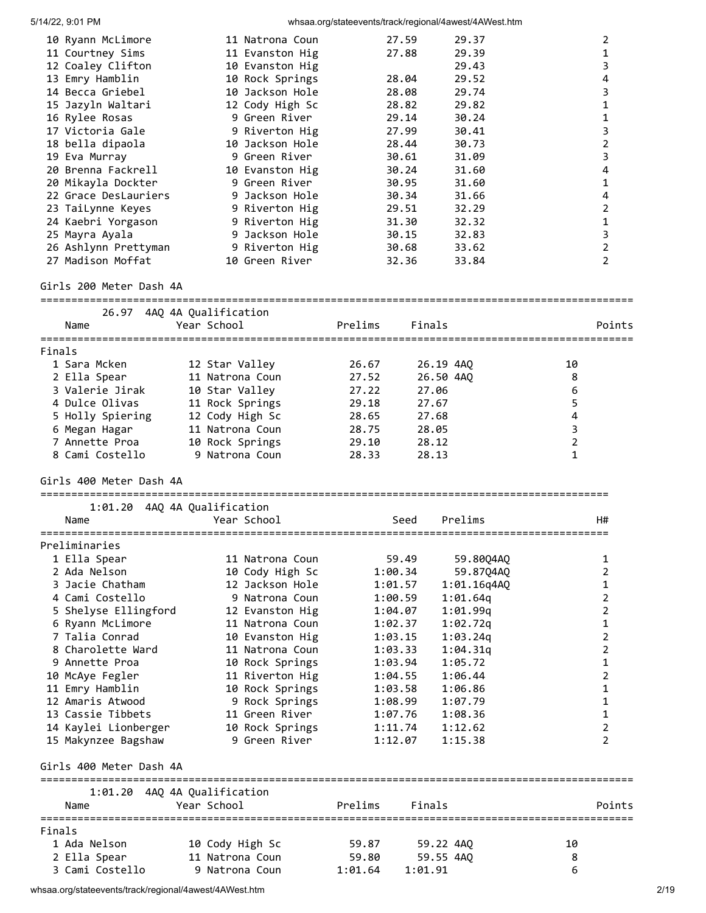|        | 5/14/22, 9:01 PM                           |                                             | whsaa.org/stateevents/track/regional/4awest/4AWest.htm |                |                                  |                |
|--------|--------------------------------------------|---------------------------------------------|--------------------------------------------------------|----------------|----------------------------------|----------------|
|        | 10 Ryann McLimore                          | 11 Natrona Coun                             | 27.59                                                  | 29.37          |                                  | $\overline{2}$ |
|        | 11 Courtney Sims                           | 11 Evanston Hig                             | 27.88                                                  | 29.39          |                                  | $\mathbf{1}$   |
|        | 12 Coaley Clifton                          | 10 Evanston Hig                             |                                                        | 29.43          |                                  | 3              |
|        | 13 Emry Hamblin                            | 10 Rock Springs                             | 28.04                                                  | 29.52          |                                  | 4              |
|        | 14 Becca Griebel                           | 10 Jackson Hole                             | 28.08                                                  | 29.74          |                                  | 3              |
|        | 15 Jazyln Waltari                          | 12 Cody High Sc                             | 28.82                                                  | 29.82          |                                  | 1              |
|        | 16 Rylee Rosas                             | 9 Green River                               | 29.14                                                  | 30.24          |                                  | 1              |
|        | 17 Victoria Gale                           | 9 Riverton Hig                              | 27.99                                                  | 30.41          |                                  | 3              |
|        | 18 bella dipaola                           | 10 Jackson Hole                             | 28.44                                                  | 30.73          |                                  | $\overline{2}$ |
|        | 19 Eva Murray<br>20 Brenna Fackrell        | 9 Green River                               | 30.61                                                  | 31.09          |                                  | 3              |
|        |                                            | 10 Evanston Hig<br>9 Green River            | 30.24<br>30.95                                         | 31.60<br>31.60 |                                  | 4<br>1         |
|        | 20 Mikayla Dockter<br>22 Grace DesLauriers | 9 Jackson Hole                              | 30.34                                                  | 31.66          |                                  | 4              |
|        | 23 TaiLynne Keyes                          | 9 Riverton Hig                              | 29.51                                                  | 32.29          |                                  | $\overline{2}$ |
|        | 24 Kaebri Yorgason                         | 9 Riverton Hig                              | 31.30                                                  | 32.32          |                                  | 1              |
|        | 25 Mayra Ayala                             | 9 Jackson Hole                              | 30.15                                                  | 32.83          |                                  | 3              |
|        | 26 Ashlynn Prettyman                       | 9 Riverton Hig                              | 30.68                                                  | 33.62          |                                  | $\overline{2}$ |
|        | 27 Madison Moffat                          | 10 Green River                              | 32.36                                                  | 33.84          |                                  | $\overline{2}$ |
|        | Girls 200 Meter Dash 4A                    |                                             |                                                        |                |                                  |                |
|        |                                            | 26.97 4AQ 4A Qualification                  |                                                        |                |                                  |                |
|        | Name                                       | Year School                                 | Prelims<br>Finals                                      |                |                                  | Points         |
|        |                                            |                                             |                                                        |                |                                  |                |
| Finals |                                            |                                             |                                                        |                |                                  |                |
|        | 1 Sara Mcken                               | 12 Star Valley                              | 26.67                                                  | 26.19 4AQ      | 10                               |                |
|        | 2 Ella Spear                               | 11 Natrona Coun                             | 27.52                                                  | 26.50 4AQ      | 8                                |                |
|        | 3 Valerie Jirak                            | 10 Star Valley                              | 27.22<br>27.06                                         |                | 6                                |                |
|        | 4 Dulce Olivas                             | 11 Rock Springs                             | 29.18<br>27.67                                         |                | 5                                |                |
|        | 5 Holly Spiering                           | 12 Cody High Sc                             | 28.65<br>27.68                                         |                | 4                                |                |
|        | 6 Megan Hagar                              | 11 Natrona Coun                             | 28.75<br>28.05                                         |                | $\overline{3}$<br>$\overline{2}$ |                |
|        | 7 Annette Proa<br>8 Cami Costello          | 10 Rock Springs<br>9 Natrona Coun           | 29.10<br>28.12<br>28.33<br>28.13                       |                | 1                                |                |
|        |                                            |                                             |                                                        |                |                                  |                |
|        | Girls 400 Meter Dash 4A                    |                                             |                                                        |                |                                  |                |
|        |                                            |                                             |                                                        |                |                                  |                |
|        | 1:01.20                                    | 4AQ 4A Qualification                        |                                                        |                |                                  |                |
|        | Name                                       | Year School                                 | Seed                                                   | Prelims        |                                  | H#             |
|        | Preliminaries                              |                                             |                                                        |                |                                  |                |
|        | 1 Ella Spear                               | 11 Natrona Coun                             | 59.49                                                  | 59.80Q4AQ      |                                  | 1              |
|        | 2 Ada Nelson                               | 10 Cody High Sc                             | 1:00.34                                                | 59.87Q4AQ      |                                  | $\overline{2}$ |
|        | 3 Jacie Chatham                            | 12 Jackson Hole                             | 1:01.57                                                | 1:01.16q4AQ    |                                  | 1              |
|        | 4 Cami Costello                            | 9 Natrona Coun                              | 1:00.59                                                | 1:01.64q       |                                  | 2              |
|        | 5 Shelyse Ellingford                       | 12 Evanston Hig                             | 1:04.07                                                | 1:01.99q       |                                  | 2              |
|        | 6 Ryann McLimore                           | 11 Natrona Coun                             | 1:02.37                                                | 1:02.72q       |                                  | 1              |
|        | 7 Talia Conrad                             | 10 Evanston Hig                             | 1:03.15                                                | 1:03.24q       |                                  | 2              |
|        | 8 Charolette Ward                          | 11 Natrona Coun                             | 1:03.33                                                | 1:04.31q       |                                  | $\overline{2}$ |
|        | 9 Annette Proa                             | 10 Rock Springs                             | 1:03.94                                                | 1:05.72        |                                  | 1              |
|        | 10 McAye Fegler                            | 11 Riverton Hig                             | 1:04.55                                                | 1:06.44        |                                  | $\overline{2}$ |
|        | 11 Emry Hamblin                            | 10 Rock Springs                             | 1:03.58                                                | 1:06.86        |                                  | 1              |
|        | 12 Amaris Atwood                           | 9 Rock Springs                              | 1:08.99                                                | 1:07.79        |                                  | 1              |
|        | 13 Cassie Tibbets                          | 11 Green River                              | 1:07.76                                                | 1:08.36        |                                  | 1              |
|        | 14 Kaylei Lionberger                       | 10 Rock Springs                             | 1:11.74                                                | 1:12.62        |                                  | $\overline{2}$ |
|        | 15 Makynzee Bagshaw                        | 9 Green River                               | 1:12.07                                                | 1:15.38        |                                  | $\overline{2}$ |
|        | Girls 400 Meter Dash 4A                    |                                             |                                                        |                |                                  |                |
|        | Name                                       | 1:01.20 4AQ 4A Qualification<br>Year School | Prelims<br>Finals                                      |                |                                  | Points         |
|        |                                            |                                             |                                                        |                |                                  |                |
| Finals |                                            |                                             |                                                        |                |                                  |                |
|        | 1 Ada Nelson                               | 10 Cody High Sc                             | 59.87                                                  | 59.22 4AQ      | 10                               |                |
|        | 2 Ella Spear                               | 11 Natrona Coun                             | 59.80                                                  | 59.55 4AQ      | 8                                |                |
|        | 3 Cami Costello                            | 9 Natrona Coun                              | 1:01.64<br>1:01.91                                     |                | 6                                |                |

whsaa.org/stateevents/track/regional/4awest/4AWest.htm 2/19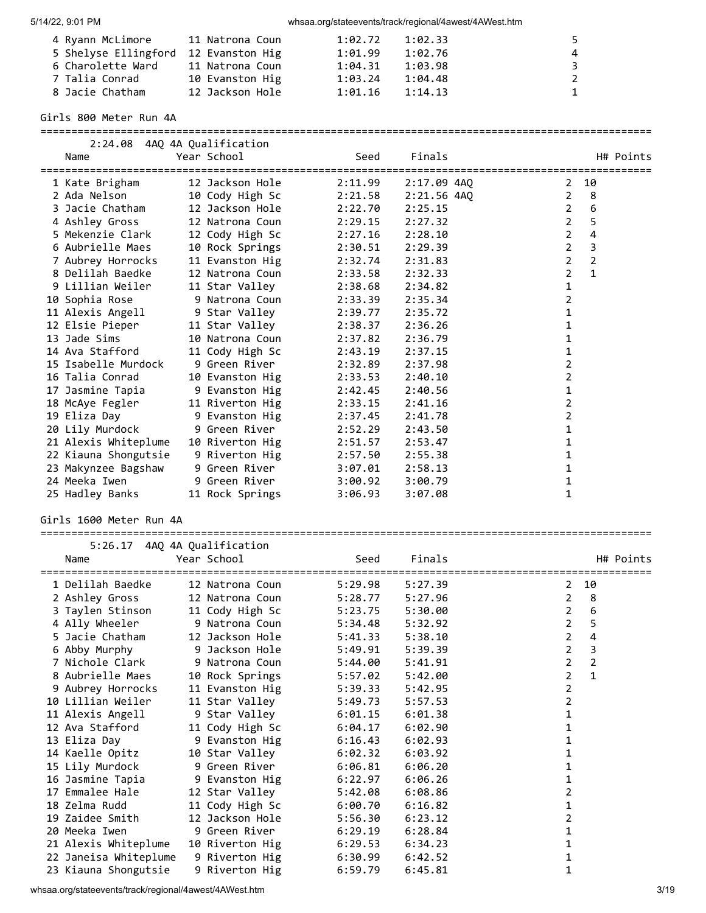| 4 Ryann McLimore     | 11 Natrona Coun | 1:02.72 | 1:02.33 | 5.            |
|----------------------|-----------------|---------|---------|---------------|
| 5 Shelyse Ellingford | 12 Evanston Hig | 1:01.99 | 1:02.76 | 4             |
| 6 Charolette Ward    | 11 Natrona Coun | 1:04.31 | 1:03.98 | २             |
| 7 Talia Conrad       | 10 Evanston Hig | 1:03.24 | 1:04.48 | $\mathcal{P}$ |
| 8 Jacie Chatham      | 12 Jackson Hole | 1:01.16 | 1:14.13 | $\mathbf{1}$  |

Girls 800 Meter Run 4A

| Name                 | 2:24.08 4AQ 4A Qualification<br>Year School | Seed    | Finals      | H# Points                        |
|----------------------|---------------------------------------------|---------|-------------|----------------------------------|
| 1 Kate Brigham       | 12 Jackson Hole                             | 2:11.99 | 2:17.09 4AO | 10<br>2                          |
| 2 Ada Nelson         | 10 Cody High Sc                             | 2:21.58 | 2:21.56 4AO | 8<br>$\overline{2}$              |
| 3 Jacie Chatham      | 12 Jackson Hole                             | 2:22.70 | 2:25.15     | 6<br>$\overline{2}$              |
| 4 Ashley Gross       | 12 Natrona Coun                             | 2:29.15 | 2:27.32     | $\overline{2}$<br>5              |
| 5 Mekenzie Clark     | 12 Cody High Sc                             | 2:27.16 | 2:28.10     | $\overline{2}$<br>4              |
| 6 Aubrielle Maes     | 10 Rock Springs                             | 2:30.51 | 2:29.39     | 3<br>$\overline{2}$              |
| 7 Aubrey Horrocks    | 11 Evanston Hig                             | 2:32.74 | 2:31.83     | $\overline{2}$<br>$\overline{2}$ |
| 8 Delilah Baedke     | 12 Natrona Coun                             | 2:33.58 | 2:32.33     | $\mathbf{1}$<br>2                |
| 9 Lillian Weiler     | 11 Star Valley                              | 2:38.68 | 2:34.82     | 1                                |
| 10 Sophia Rose       | 9 Natrona Coun                              | 2:33.39 | 2:35.34     | 2                                |
| 11 Alexis Angell     | 9 Star Valley                               | 2:39.77 | 2:35.72     | 1                                |
| 12 Elsie Pieper      | 11 Star Valley                              | 2:38.37 | 2:36.26     | 1                                |
| 13 Jade Sims         | 10 Natrona Coun                             | 2:37.82 | 2:36.79     | 1                                |
| 14 Ava Stafford      | 11 Cody High Sc                             | 2:43.19 | 2:37.15     | 1                                |
| 15 Isabelle Murdock  | 9 Green River                               | 2:32.89 | 2:37.98     | 2                                |
| 16 Talia Conrad      | 10 Evanston Hig                             | 2:33.53 | 2:40.10     | 2                                |
| 17 Jasmine Tapia     | 9 Evanston Hig                              | 2:42.45 | 2:40.56     | 1                                |
| 18 McAye Fegler      | 11 Riverton Hig                             | 2:33.15 | 2:41.16     | 2                                |
| 19 Eliza Day         | 9 Evanston Hig                              | 2:37.45 | 2:41.78     | 2                                |
| 20 Lily Murdock      | 9 Green River                               | 2:52.29 | 2:43.50     | 1                                |
| 21 Alexis Whiteplume | 10 Riverton Hig                             | 2:51.57 | 2:53.47     | 1                                |
| 22 Kiauna Shongutsie | 9 Riverton Hig                              | 2:57.50 | 2:55.38     | 1                                |
| 23 Makynzee Bagshaw  | 9 Green River                               | 3:07.01 | 2:58.13     | 1                                |
| 24 Meeka Iwen        | 9 Green River                               | 3:00.92 | 3:00.79     | 1                                |
| 25 Hadley Banks      | 11 Rock Springs                             | 3:06.93 | 3:07.08     | 1                                |

===================================================================================================

### Girls 1600 Meter Run 4A

===================================================================================================

|                       | 5:26.17 4AQ 4A Qualification      |         |         |                                    |
|-----------------------|-----------------------------------|---------|---------|------------------------------------|
| Name                  | Year School                       | Seed    | Finals  | H# Points                          |
| 1 Delilah Baedke      | 12 Natrona Coun                   | 5:29.98 | 5:27.39 | 2 10                               |
| 2 Ashley Gross        | 12 Natrona Coun                   | 5:28.77 | 5:27.96 | 8<br>$\overline{2}$                |
| 3 Taylen Stinson      | 11 Cody High Sc                   | 5:23.75 | 5:30.00 | $\overline{2}$<br>$\boldsymbol{6}$ |
| 4 Ally Wheeler        | 9 Natrona Coun                    | 5:34.48 | 5:32.92 | 2<br>5                             |
| 5 Jacie Chatham       | 12 Jackson Hole                   | 5:41.33 | 5:38.10 | $\overline{2}$<br>4                |
|                       | 6 Abby Murphy      9 Jackson Hole | 5:49.91 | 5:39.39 | $\overline{2}$<br>3                |
|                       | 7 Nichole Clark 9 Natrona Coun    | 5:44.00 | 5:41.91 | $\overline{2}$<br>$\overline{2}$   |
| 8 Aubrielle Maes      | 10 Rock Springs                   | 5:57.02 | 5:42.00 | $\overline{2}$<br>$\mathbf{1}$     |
| 9 Aubrey Horrocks     | 11 Evanston Hig                   | 5:39.33 | 5:42.95 | 2                                  |
| 10 Lillian Weiler     | 11 Star Valley                    | 5:49.73 | 5:57.53 | $\overline{2}$                     |
| 11 Alexis Angell      | 9 Star Valley                     | 6:01.15 | 6:01.38 | 1                                  |
| 12 Ava Stafford       | 11 Cody High Sc                   | 6:04.17 | 6:02.90 | 1                                  |
| 13 Eliza Day          | 9 Evanston Hig                    | 6:16.43 | 6:02.93 | 1                                  |
| 14 Kaelle Opitz       | 10 Star Valley                    | 6:02.32 | 6:03.92 | 1                                  |
| 15 Lily Murdock       | 9 Green River                     | 6:06.81 | 6:06.20 | 1                                  |
|                       | 16 Jasmine Tapia 9 Evanston Hig   | 6:22.97 | 6:06.26 | 1                                  |
| 17 Emmalee Hale       | 12 Star Valley                    | 5:42.08 | 6:08.86 | 2                                  |
| 18 Zelma Rudd         | 11 Cody High Sc                   | 6:00.70 | 6:16.82 | 1                                  |
| 19 Zaidee Smith       | 12 Jackson Hole                   | 5:56.30 | 6:23.12 | 2                                  |
|                       | 20 Meeka Iwen 50 9 Green River    | 6:29.19 | 6:28.84 | 1                                  |
| 21 Alexis Whiteplume  | 10 Riverton Hig                   | 6:29.53 | 6:34.23 | 1                                  |
| 22 Janeisa Whiteplume | 9 Riverton Hig                    | 6:30.99 | 6:42.52 | 1                                  |
| 23 Kiauna Shongutsie  | 9 Riverton Hig                    | 6:59.79 | 6:45.81 | 1                                  |

whsaa.org/stateevents/track/regional/4awest/4AWest.htm 3/19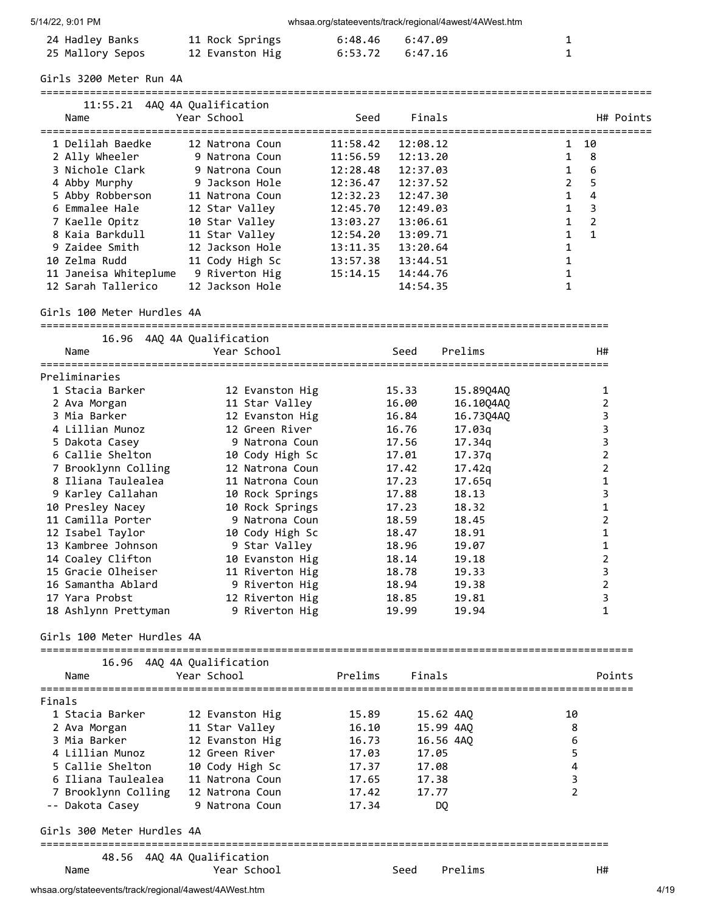whsaa.org/stateevents/track/regional/4awest/4AWest.htm

| 24 Hadley Banks  | 11 Rock Springs | 6:48.46 6:47.09     |  |
|------------------|-----------------|---------------------|--|
| 25 Mallory Sepos | 12 Evanston Hig | $6:53.72$ $6:47.16$ |  |

Girls 3200 Meter Run 4A

| 11:55.21<br>Name      | 4AO 4A Oualification<br>Year School | Seed     | Finals   | H# Points           |
|-----------------------|-------------------------------------|----------|----------|---------------------|
| 1 Delilah Baedke      | 12 Natrona Coun                     | 11:58.42 | 12:08.12 | 10<br>$\mathbf{1}$  |
| 2 Ally Wheeler        | 9 Natrona Coun                      | 11:56.59 | 12:13.20 | 8                   |
| 3 Nichole Clark       | 9 Natrona Coun                      | 12:28.48 | 12:37.03 | 1<br>6              |
| 4 Abby Murphy         | 9 Jackson Hole                      | 12:36.47 | 12:37.52 | 5<br>$\overline{2}$ |
| 5 Abby Robberson      | 11 Natrona Coun                     | 12:32.23 | 12:47.30 | 4                   |
| 6 Emmalee Hale        | 12 Star Valley                      | 12:45.70 | 12:49.03 | 3<br>1              |
| 7 Kaelle Opitz        | 10 Star Valley                      | 13:03.27 | 13:06.61 | $\overline{2}$      |
| 8 Kaia Barkdull       | 11 Star Valley                      | 12:54.20 | 13:09.71 | 1                   |
| 9 Zaidee Smith        | 12 Jackson Hole                     | 13:11.35 | 13:20.64 |                     |
| 10 Zelma Rudd         | 11 Cody High Sc                     | 13:57.38 | 13:44.51 |                     |
| 11 Janeisa Whiteplume | 9 Riverton Hig                      | 15:14.15 | 14:44.76 |                     |
| 12 Sarah Tallerico    | 12 Jackson Hole                     |          | 14:54.35 |                     |

Girls 100 Meter Hurdles 4A

| 16.96                                          | 4AQ 4A Qualification |         |           |                                    |                |
|------------------------------------------------|----------------------|---------|-----------|------------------------------------|----------------|
| Name<br>=====================                  | Year School          |         | Seed      | Prelims                            | H#             |
| Preliminaries                                  |                      |         |           |                                    |                |
| 1 Stacia Barker                                | 12 Evanston Hig      |         | 15.33     | 15.89Q4AQ                          | 1              |
| 2 Ava Morgan                                   | 11 Star Valley       |         | 16.00     | 16.10Q4AQ                          | $\overline{2}$ |
| 3 Mia Barker                                   | 12 Evanston Hig      |         | 16.84     | 16.73Q4AQ                          | 3              |
| 4 Lillian Munoz                                | 12 Green River       |         | 16.76     | 17.03a                             | 3              |
| 5 Dakota Casey                                 | 9 Natrona Coun       |         | 17.56     | 17.34q                             | 3              |
| 6 Callie Shelton                               | 10 Cody High Sc      |         | 17.01     | 17.37q                             | $\overline{2}$ |
| 7 Brooklynn Colling                            | 12 Natrona Coun      |         | 17.42     | 17.42q                             | $\overline{2}$ |
| 8 Iliana Taulealea                             | 11 Natrona Coun      |         | 17.23     | 17.65q                             | $\mathbf 1$    |
| 9 Karley Callahan                              | 10 Rock Springs      |         | 17.88     | 18.13                              | 3              |
| 10 Presley Nacey                               | 10 Rock Springs      |         | 17.23     | 18.32                              | 1              |
| 11 Camilla Porter                              | 9 Natrona Coun       |         | 18.59     | 18.45                              | $\overline{2}$ |
| 12 Isabel Taylor                               | 10 Cody High Sc      |         | 18.47     | 18.91                              | 1              |
| 13 Kambree Johnson                             | 9 Star Valley        |         | 18.96     | 19.07                              | $\mathbf{1}$   |
| 14 Coaley Clifton                              | 10 Evanston Hig      |         | 18.14     | 19.18                              | $\overline{2}$ |
| 15 Gracie Olheiser                             | 11 Riverton Hig      |         | 18.78     | 19.33                              | 3              |
| 16 Samantha Ablard                             | 9 Riverton Hig       |         | 18.94     | 19.38                              | $\overline{2}$ |
| 17 Yara Probst                                 | 12 Riverton Hig      |         | 18.85     | 19.81                              | 3              |
| 18 Ashlynn Prettyman                           | 9 Riverton Hig       |         | 19.99     | 19.94                              | $\mathbf{1}$   |
| Girls 100 Meter Hurdles 4A                     |                      |         |           |                                    |                |
| 16.96                                          | 4AQ 4A Qualification |         |           |                                    |                |
| Name                                           | Year School          | Prelims | Finals    |                                    | Points         |
| Finals                                         |                      |         |           |                                    |                |
| 1 Stacia Barker                                | 12 Evanston Hig      | 15.89   | 15.62 4AQ |                                    | 10             |
| 2 Ava Morgan                                   | 11 Star Valley       | 16.10   | 15.99 4AQ |                                    | 8              |
| 3 Mia Barker                                   | 12 Evanston Hig      | 16.73   | 16.56 4AQ |                                    | 6              |
| 4 Lillian Munoz                                | 12 Green River       | 17.03   | 17.05     |                                    | 5              |
| 5 Callie Shelton                               | 10 Cody High Sc      | 17.37   | 17.08     |                                    | 4              |
| 6 Iliana Taulealea                             | 11 Natrona Coun      | 17.65   | 17.38     |                                    | 3              |
| 7 Brooklynn Colling                            | 12 Natrona Coun      | 17.42   | 17.77     |                                    | $\overline{2}$ |
| -- Dakota Casey                                | 9 Natrona Coun       | 17.34   | DQ        |                                    |                |
| Girls 300 Meter Hurdles 4A                     |                      |         |           |                                    |                |
| =====================================<br>48.56 | 4AO 4A Oualification |         |           | ================================== |                |

Name The Year School Seed Prelims H#

whsaa.org/stateevents/track/regional/4awest/4AWest.htm 4/19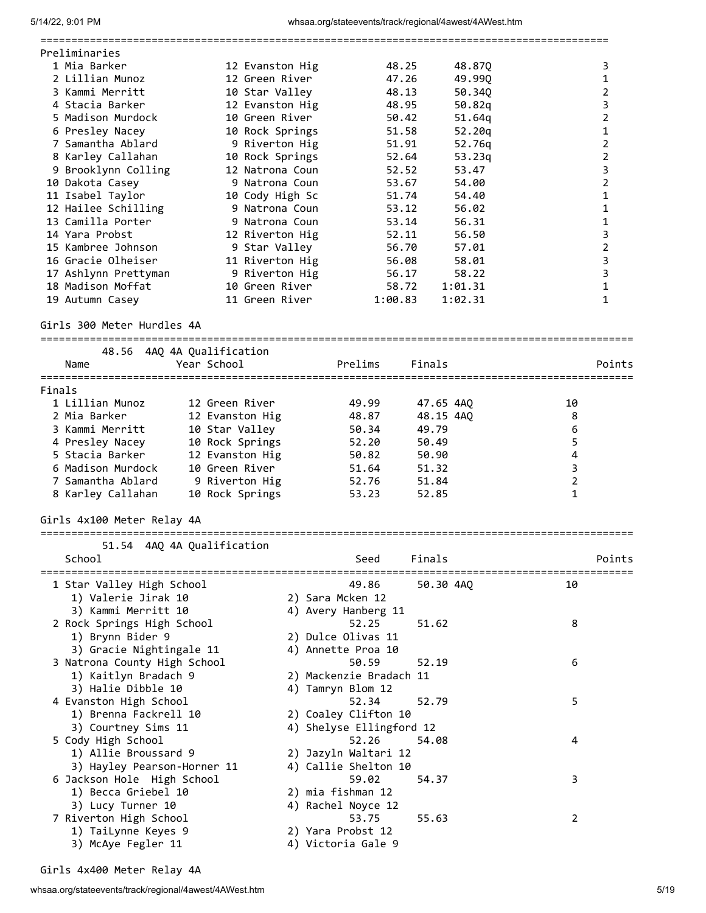|        |                              |                            |                          |           |         | ================================== |                |
|--------|------------------------------|----------------------------|--------------------------|-----------|---------|------------------------------------|----------------|
|        | Preliminaries                |                            |                          |           |         |                                    |                |
|        | 1 Mia Barker                 | 12 Evanston Hig            |                          | 48.25     | 48.87Q  |                                    | 3              |
|        | 2 Lillian Munoz              | 12 Green River             |                          | 47.26     | 49.99Q  |                                    | 1              |
|        | 3 Kammi Merritt              | 10 Star Valley             |                          | 48.13     | 50.34Q  |                                    | $\overline{2}$ |
|        | 4 Stacia Barker              | 12 Evanston Hig            |                          | 48.95     | 50.82q  |                                    | 3              |
|        | 5 Madison Murdock            | 10 Green River             |                          | 50.42     | 51.64q  |                                    | $\overline{2}$ |
|        | 6 Presley Nacey              | 10 Rock Springs            |                          | 51.58     | 52.20q  |                                    | 1              |
|        | 7 Samantha Ablard            | 9 Riverton Hig             |                          | 51.91     | 52.76q  |                                    | 2              |
|        | 8 Karley Callahan            | 10 Rock Springs            |                          | 52.64     | 53.23q  |                                    | $\overline{2}$ |
|        | 9 Brooklynn Colling          | 12 Natrona Coun            |                          | 52.52     | 53.47   |                                    | 3              |
|        | 10 Dakota Casey              | 9 Natrona Coun             |                          | 53.67     | 54.00   |                                    | $\overline{2}$ |
|        | 11 Isabel Taylor             | 10 Cody High Sc            |                          | 51.74     | 54.40   |                                    | 1              |
|        | 12 Hailee Schilling          | 9 Natrona Coun             |                          | 53.12     | 56.02   |                                    | 1              |
|        | 13 Camilla Porter            | 9 Natrona Coun             |                          | 53.14     | 56.31   |                                    | 1              |
|        | 14 Yara Probst               | 12 Riverton Hig            |                          | 52.11     | 56.50   |                                    | 3              |
|        | 15 Kambree Johnson           | 9 Star Valley              |                          | 56.70     | 57.01   |                                    | $\overline{2}$ |
|        | 16 Gracie Olheiser           | 11 Riverton Hig            |                          | 56.08     | 58.01   |                                    | 3              |
|        | 17 Ashlynn Prettyman         | 9 Riverton Hig             |                          | 56.17     | 58.22   |                                    | 3              |
|        | 18 Madison Moffat            | 10 Green River             |                          | 58.72     | 1:01.31 |                                    | $\mathbf{1}$   |
|        | 19 Autumn Casey              | 11 Green River             | 1:00.83                  |           | 1:02.31 |                                    | $\mathbf{1}$   |
|        | Girls 300 Meter Hurdles 4A   |                            |                          |           |         |                                    |                |
|        |                              |                            |                          |           |         |                                    |                |
|        |                              | 48.56 4AQ 4A Qualification |                          |           |         |                                    |                |
|        | Name                         | Year School                | Prelims                  | Finals    |         |                                    | Points         |
|        |                              |                            |                          |           |         |                                    |                |
| Finals |                              |                            |                          |           |         |                                    |                |
|        | 1 Lillian Munoz              | 12 Green River             | 49.99                    | 47.65 4AQ |         | 10                                 |                |
|        | 2 Mia Barker                 | 12 Evanston Hig            | 48.87                    | 48.15 4AQ |         | 8                                  |                |
|        | 3 Kammi Merritt              | 10 Star Valley             | 50.34                    | 49.79     |         | 6                                  |                |
|        | 4 Presley Nacey              | 10 Rock Springs            | 52.20                    | 50.49     |         | 5                                  |                |
|        | 5 Stacia Barker              | 12 Evanston Hig            | 50.82                    | 50.90     |         | 4                                  |                |
|        | 6 Madison Murdock            | 10 Green River             | 51.64                    | 51.32     |         | 3                                  |                |
|        | 7 Samantha Ablard            | 9 Riverton Hig             | 52.76                    | 51.84     |         | $\mathbf 2$                        |                |
|        | 8 Karley Callahan            | 10 Rock Springs            | 53.23                    | 52.85     |         | $\mathbf{1}$                       |                |
|        | Girls 4x100 Meter Relay 4A   |                            |                          |           |         |                                    |                |
|        |                              |                            |                          |           |         |                                    |                |
|        |                              | 51.54 4AQ 4A Qualification |                          |           |         |                                    |                |
|        | School                       |                            | Seed                     | Finals    |         |                                    | Points         |
|        | 1 Star Valley High School    |                            | 49.86                    | 50.30 4AQ |         | 10                                 |                |
|        | 1) Valerie Jirak 10          |                            | 2) Sara Mcken 12         |           |         |                                    |                |
|        | 3) Kammi Merritt 10          |                            | 4) Avery Hanberg 11      |           |         |                                    |                |
|        | 2 Rock Springs High School   |                            | 52.25                    | 51.62     |         | 8                                  |                |
|        | 1) Brynn Bider 9             |                            | 2) Dulce Olivas 11       |           |         |                                    |                |
|        | 3) Gracie Nightingale 11     |                            | 4) Annette Proa 10       |           |         |                                    |                |
|        | 3 Natrona County High School |                            | 50.59                    | 52.19     |         | 6                                  |                |
|        | 1) Kaitlyn Bradach 9         |                            | 2) Mackenzie Bradach 11  |           |         |                                    |                |
|        | 3) Halie Dibble 10           |                            | 4) Tamryn Blom 12        |           |         |                                    |                |
|        | 4 Evanston High School       |                            | 52.34                    | 52.79     |         | 5                                  |                |
|        | 1) Brenna Fackrell 10        |                            | 2) Coaley Clifton 10     |           |         |                                    |                |
|        | 3) Courtney Sims 11          |                            | 4) Shelyse Ellingford 12 |           |         |                                    |                |
|        | 5 Cody High School           |                            | 52.26                    | 54.08     |         | 4                                  |                |
|        | 1) Allie Broussard 9         |                            | 2) Jazyln Waltari 12     |           |         |                                    |                |
|        | 3) Hayley Pearson-Horner 11  |                            | 4) Callie Shelton 10     |           |         |                                    |                |
|        | 6 Jackson Hole High School   |                            | 59.02                    | 54.37     |         | 3                                  |                |
|        | 1) Becca Griebel 10          |                            | 2) mia fishman 12        |           |         |                                    |                |
|        | 3) Lucy Turner 10            |                            | 4) Rachel Noyce 12       |           |         |                                    |                |
|        | 7 Riverton High School       |                            | 53.75                    | 55.63     |         | 2                                  |                |
|        | 1) TaiLynne Keyes 9          |                            | 2) Yara Probst 12        |           |         |                                    |                |
|        | 3) McAye Fegler 11           |                            | 4) Victoria Gale 9       |           |         |                                    |                |
|        |                              |                            |                          |           |         |                                    |                |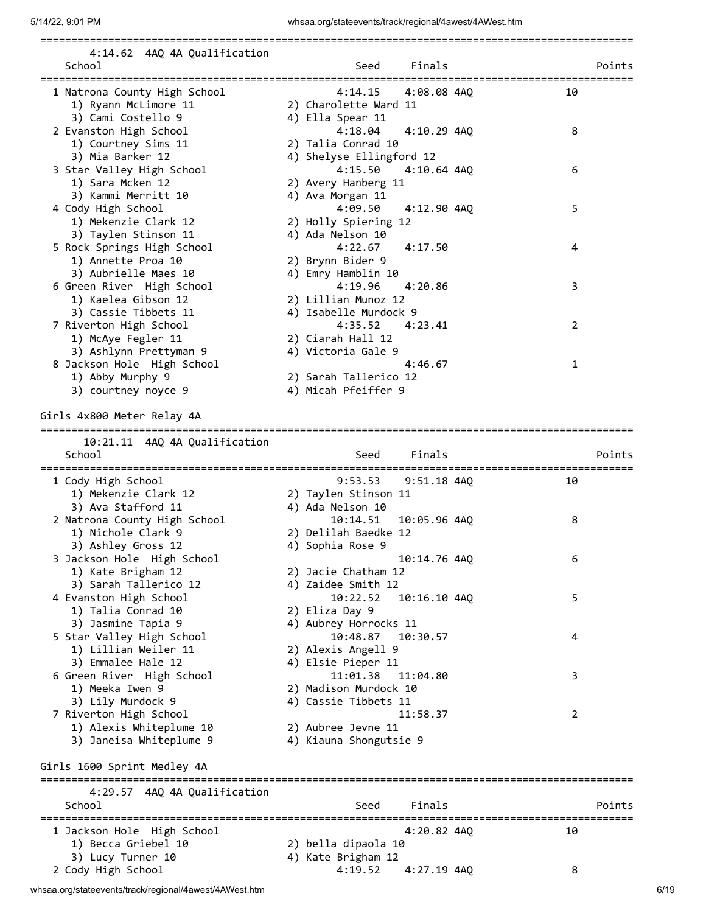| 4:14.62 4AQ 4A Qualification                                |                                           |                |
|-------------------------------------------------------------|-------------------------------------------|----------------|
| School                                                      | Finals<br>Seed                            | Points         |
|                                                             |                                           |                |
| 1 Natrona County High School                                | 4:08.08 4AQ<br>4:14.15                    | 10             |
| 1) Ryann McLimore 11<br>3) Cami Costello 9                  | 2) Charolette Ward 11<br>4) Ella Spear 11 |                |
| 2 Evanston High School                                      | 4:18.04<br>4:10.29 4AQ                    | 8              |
| 1) Courtney Sims 11                                         | 2) Talia Conrad 10                        |                |
| 3) Mia Barker 12                                            | 4) Shelyse Ellingford 12                  |                |
| 3 Star Valley High School                                   | 4:15.50<br>$4:10.64$ $4AQ$                | 6              |
| 1) Sara Mcken 12                                            | 2) Avery Hanberg 11                       |                |
| 3) Kammi Merritt 10                                         | 4) Ava Morgan 11                          |                |
| 4 Cody High School                                          | 4:09.50<br>4:12.90 4AQ                    | 5              |
| 1) Mekenzie Clark 12<br>3) Taylen Stinson 11                | 2) Holly Spiering 12<br>4) Ada Nelson 10  |                |
| 5 Rock Springs High School                                  | 4:22.67<br>4:17.50                        | 4              |
| 1) Annette Proa 10                                          | 2) Brynn Bider 9                          |                |
| 3) Aubrielle Maes 10                                        | 4) Emry Hamblin 10                        |                |
| 6 Green River High School                                   | 4:19.96<br>4:20.86                        | 3              |
| 1) Kaelea Gibson 12                                         | 2) Lillian Munoz 12                       |                |
| 3) Cassie Tibbets 11                                        | 4) Isabelle Murdock 9                     |                |
| 7 Riverton High School                                      | 4:35.52<br>4:23.41                        | $\overline{2}$ |
| 1) McAye Fegler 11                                          | 2) Ciarah Hall 12                         |                |
| 3) Ashlynn Prettyman 9                                      | 4) Victoria Gale 9<br>4:46.67             | $\mathbf{1}$   |
| 8 Jackson Hole High School<br>1) Abby Murphy 9              | 2) Sarah Tallerico 12                     |                |
| 3) courtney noyce 9                                         | 4) Micah Pfeiffer 9                       |                |
|                                                             |                                           |                |
| Girls 4x800 Meter Relay 4A                                  |                                           |                |
|                                                             |                                           |                |
| 10:21.11 4AQ 4A Qualification<br>School                     | Finals<br>Seed                            | Points         |
|                                                             |                                           |                |
| 1 Cody High School                                          | 9:53.53<br>$9:51.18$ $4AQ$                | 10             |
| 1) Mekenzie Clark 12                                        | 2) Taylen Stinson 11                      |                |
| 3) Ava Stafford 11                                          | 4) Ada Nelson 10                          |                |
| 2 Natrona County High School                                | 10:14.51<br>10:05.96 4AQ                  | 8              |
| 1) Nichole Clark 9                                          | 2) Delilah Baedke 12                      |                |
| 3) Ashley Gross 12<br>3 Jackson Hole High School            | 4) Sophia Rose 9<br>10:14.76 4AQ          | 6              |
| 1) Kate Brigham 12                                          | 2) Jacie Chatham 12                       |                |
| 3) Sarah Tallerico 12                                       | 4) Zaidee Smith 12                        |                |
| 4 Evanston High School                                      | 10:22.52<br>10:16.10 4AQ                  | 5              |
| 1) Talia Conrad 10                                          | 2) Eliza Day 9                            |                |
| 3) Jasmine Tapia 9                                          | 4) Aubrey Horrocks 11                     |                |
| 5 Star Valley High School                                   | 10:48.87<br>10:30.57                      | 4              |
| 1) Lillian Weiler 11                                        | 2) Alexis Angell 9                        |                |
| 3) Emmalee Hale 12                                          | 4) Elsie Pieper 11<br>11:04.80            |                |
| 6 Green River High School<br>1) Meeka Iwen 9                | 11:01.38<br>2) Madison Murdock 10         | 3              |
| 3) Lily Murdock 9                                           | 4) Cassie Tibbets 11                      |                |
| 7 Riverton High School                                      | 11:58.37                                  | 2              |
| 1) Alexis Whiteplume 10                                     | 2) Aubree Jevne 11                        |                |
| 3) Janeisa Whiteplume 9                                     | 4) Kiauna Shongutsie 9                    |                |
|                                                             |                                           |                |
| Girls 1600 Sprint Medley 4A                                 |                                           |                |
| ===========================<br>4:29.57 4AQ 4A Qualification |                                           |                |
| School                                                      | Finals<br>Seed                            | Points         |
|                                                             |                                           |                |
| 1 Jackson Hole High School                                  | 4:20.82 4AQ                               | 10             |
| 1) Becca Griebel 10                                         | 2) bella dipaola 10                       |                |
| 3) Lucy Turner 10                                           | 4) Kate Brigham 12                        |                |
| 2 Cody High School                                          | 4:19.52<br>4:27.19 4AQ                    | 8              |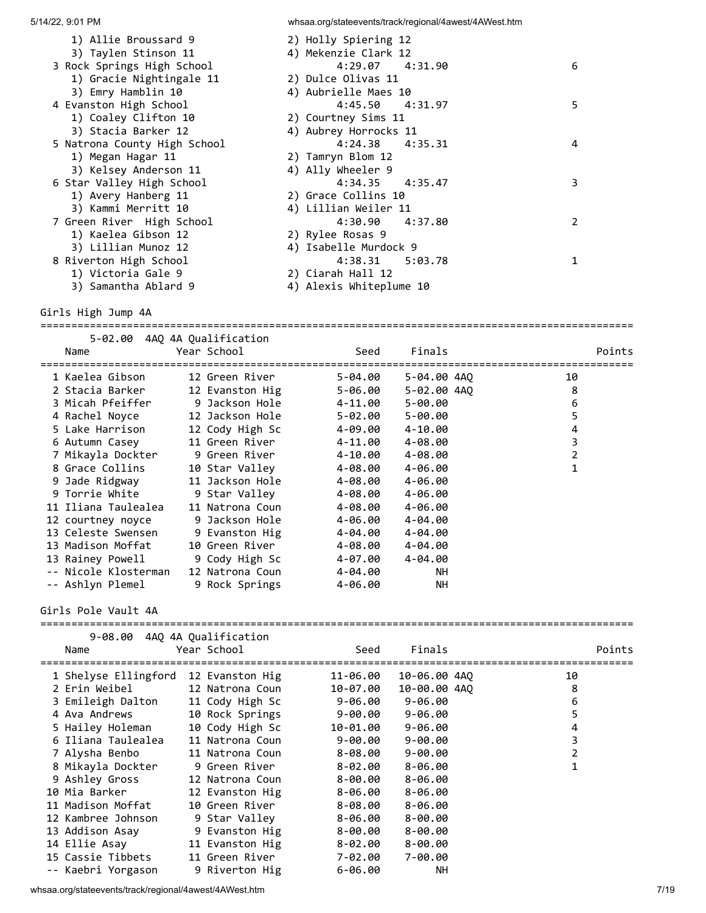| 1) Allie Broussard 9<br>3) Taylen Stinson 11 | 2) Holly Spiering 12<br>4) Mekenzie Clark 12 |               |
|----------------------------------------------|----------------------------------------------|---------------|
| 3 Rock Springs High School                   | $4:29.07$ $4:31.90$                          | 6             |
| 1) Gracie Nightingale 11                     | 2) Dulce Olivas 11                           |               |
| 3) Emry Hamblin 10                           | 4) Aubrielle Maes 10                         |               |
| 4 Evanston High School                       | 4:45.50 4:31.97                              | 5             |
| 1) Coaley Clifton 10                         | 2) Courtney Sims 11                          |               |
| 3) Stacia Barker 12                          | 4) Aubrey Horrocks 11                        |               |
| 5 Natrona County High School                 | $4:24.38$ $4:35.31$                          | 4             |
| 1) Megan Hagar 11                            | 2) Tamryn Blom 12                            |               |
| 3) Kelsey Anderson 11                        | 4) Ally Wheeler 9                            |               |
| 6 Star Valley High School                    | 4:34.35 4:35.47                              | 3             |
| 1) Avery Hanberg 11                          | 2) Grace Collins 10                          |               |
| 3) Kammi Merritt 10                          | 4) Lillian Weiler 11                         |               |
| 7 Green River High School                    | 4:30.90 4:37.80                              | $\mathcal{P}$ |
| 1) Kaelea Gibson 12                          | 2) Rylee Rosas 9                             |               |
| 3) Lillian Munoz 12                          | 4) Isabelle Murdock 9                        |               |
| 8 Riverton High School                       | 4:38.31 5:03.78                              |               |
| 1) Victoria Gale 9                           | 2) Ciarah Hall 12                            |               |
| 3) Samantha Ablard 9                         | 4) Alexis Whiteplume 10                      |               |
|                                              |                                              |               |

Girls High Jump 4A

================================================================================================ 5-02.00 4AQ 4A Qualification Name Year School Seed Finals Points ================================================================================================ 1 Kaelea Gibson 12 Green River 5-04.00 5-04.00 4AQ 10 2 Stacia Barker 12 Evanston Hig 5-06.00 5-02.00 4AQ 8 3 Micah Pfeiffer 9 Jackson Hole 4-11.00 5-00.00 6

| S MICAN PTEITTEN.    | A JACKSON HOTE  | 4-11.00     | שש.שש-כ     | O |
|----------------------|-----------------|-------------|-------------|---|
| 4 Rachel Noyce       | 12 Jackson Hole | 5-02.00     | $5 - 00.00$ | 5 |
| 5 Lake Harrison      | 12 Cody High Sc | 4-09.00     | 4-10.00     | 4 |
| 6 Autumn Casey       | 11 Green River  | 4-11.00     | 4-08.00     | 3 |
| 7 Mikayla Dockter    | 9 Green River   | $4 - 10.00$ | 4-08.00     | 2 |
| 8 Grace Collins      | 10 Star Valley  | 4-08.00     | 4-06.00     | 1 |
| 9 Jade Ridgway       | 11 Jackson Hole | 4-08.00     | 4-06.00     |   |
| 9 Torrie White       | 9 Star Valley   | 4-08.00     | 4-06.00     |   |
| 11 Iliana Taulealea  | 11 Natrona Coun | 4-08.00     | 4-06.00     |   |
| 12 courtney noyce    | 9 Jackson Hole  | 4-06.00     | 4-04.00     |   |
| 13 Celeste Swensen   | 9 Evanston Hig  | 4-04.00     | 4-04.00     |   |
| 13 Madison Moffat    | 10 Green River  | 4-08.00     | 4-04.00     |   |
| 13 Rainey Powell     | 9 Cody High Sc  | 4-07.00     | 4-04.00     |   |
| -- Nicole Klosterman | 12 Natrona Coun | 4-04.00     | <b>NH</b>   |   |
| -- Ashlyn Plemel     | 9 Rock Springs  | 4-06.00     | NH.         |   |
|                      |                 |             |             |   |

Girls Pole Vault 4A

| 9-08.00 4AQ 4A Qualification |                 |             |              |                |
|------------------------------|-----------------|-------------|--------------|----------------|
| Name                         | Year School     | Seed        | Finals       | Points         |
| 1 Shelyse Ellingford         | 12 Evanston Hig | 11-06.00    | 10-06.00 4AQ | 10             |
| 2 Erin Weibel                | 12 Natrona Coun | 10-07.00    | 10-00.00 4AO | 8              |
| 3 Emileigh Dalton            | 11 Cody High Sc | 9-06.00     | $9 - 06.00$  | 6              |
| 4 Ava Andrews                | 10 Rock Springs | $9 - 00.00$ | $9 - 06.00$  | 5              |
| 5 Hailey Holeman             | 10 Cody High Sc | 10-01.00    | $9 - 06.00$  | 4              |
| 6 Iliana Taulealea           | 11 Natrona Coun | $9 - 00.00$ | $9 - 00.00$  | 3              |
| 7 Alysha Benbo               | 11 Natrona Coun | 8-08.00     | $9 - 00.00$  | $\overline{2}$ |
| 8 Mikayla Dockter            | 9 Green River   | $8 - 02.00$ | $8 - 06.00$  |                |
| 9 Ashley Gross               | 12 Natrona Coun | 8-00.00     | $8 - 06.00$  |                |
| 10 Mia Barker                | 12 Evanston Hig | $8 - 06.00$ | $8 - 06.00$  |                |
| 11 Madison Moffat            | 10 Green River  | 8-08.00     | $8 - 06.00$  |                |
| 12 Kambree Johnson           | 9 Star Valley   | $8 - 06.00$ | $8 - 00.00$  |                |
| 13 Addison Asay              | 9 Evanston Hig  | 8-00.00     | $8 - 00.00$  |                |
| 14 Ellie Asav                | 11 Evanston Hig | 8-02.00     | $8 - 00.00$  |                |
| 15 Cassie Tibbets            | 11 Green River  | 7-02.00     | 7-00.00      |                |
| -- Kaebri Yorgason           | 9 Riverton Hig  | $6 - 06.00$ | NΗ           |                |

whsaa.org/stateevents/track/regional/4awest/4AWest.htm 7/19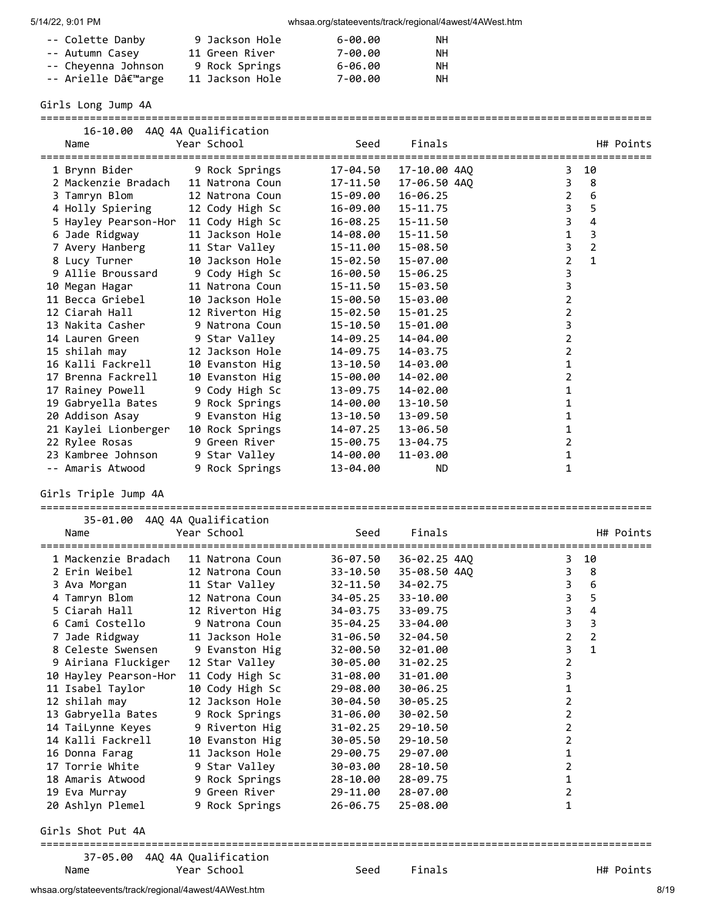| -- Colette Danby    | 9 Jackson Hole  | 6-00.00 | ΝH |
|---------------------|-----------------|---------|----|
| -- Autumn Casey     | 11 Green River  | 7-00.00 | ΝH |
| -- Cheyenna Johnson | 9 Rock Springs  | 6-06.00 | NН |
| -- Arielle D'arge   | 11 Jackson Hole | 7-00.00 | NН |

Girls Long Jump 4A

| 16-10.00<br>Name<br>================                          | 4AQ 4A Qualification<br>Year School | Seed         | Finals       |                | H# Points      |
|---------------------------------------------------------------|-------------------------------------|--------------|--------------|----------------|----------------|
| 1 Brynn Bider                                                 | 9 Rock Springs                      | 17-04.50     | 17-10.00 4AQ | 3              | 10             |
| 2 Mackenzie Bradach                                           | 11 Natrona Coun                     | 17-11.50     | 17-06.50 4AQ | 3              | 8              |
| 3 Tamryn Blom                                                 | 12 Natrona Coun                     | 15-09.00     | $16 - 06.25$ | $\overline{2}$ | 6              |
| 4 Holly Spiering                                              | 12 Cody High Sc                     | 16-09.00     | $15 - 11.75$ | 3              | 5              |
| 5 Hayley Pearson-Hor                                          | 11 Cody High Sc                     | 16-08.25     | 15-11.50     | 3              | 4              |
| 6 Jade Ridgway                                                | 11 Jackson Hole                     | 14-08.00     | 15-11.50     | 1              | 3              |
| 7 Avery Hanberg                                               | 11 Star Valley                      | 15-11.00     | 15-08.50     | 3              | $\overline{2}$ |
| 8 Lucy Turner                                                 | 10 Jackson Hole                     | 15-02.50     | 15-07.00     | 2              | $\mathbf{1}$   |
| 9 Allie Broussard                                             | 9 Cody High Sc                      | 16-00.50     | 15-06.25     | 3              |                |
| 10 Megan Hagar                                                | 11 Natrona Coun                     | 15-11.50     | 15-03.50     | 3              |                |
| 11 Becca Griebel                                              | 10 Jackson Hole                     | 15-00.50     | 15-03.00     | 2              |                |
| 12 Ciarah Hall                                                | 12 Riverton Hig                     | 15-02.50     | 15-01.25     | 2              |                |
| 13 Nakita Casher                                              | 9 Natrona Coun                      | 15-10.50     | 15-01.00     | 3              |                |
| 14 Lauren Green                                               | 9 Star Valley                       | 14-09.25     | 14-04.00     | 2              |                |
| 15 shilah may                                                 | 12 Jackson Hole                     | 14-09.75     | 14-03.75     | 2              |                |
| 16 Kalli Fackrell                                             | 10 Evanston Hig                     | 13-10.50     | 14-03.00     | 1              |                |
|                                                               |                                     |              |              |                |                |
| 17 Brenna Fackrell                                            | 10 Evanston Hig                     | 15-00.00     | 14-02.00     | 2              |                |
| 17 Rainey Powell                                              | 9 Cody High Sc                      | 13-09.75     | 14-02.00     | 1              |                |
| 19 Gabryella Bates                                            | 9 Rock Springs                      | 14-00.00     | 13-10.50     | 1              |                |
| 20 Addison Asay                                               | 9 Evanston Hig                      | 13-10.50     | 13-09.50     | 1              |                |
| 21 Kaylei Lionberger                                          | 10 Rock Springs                     | 14-07.25     | 13-06.50     | 1              |                |
| 22 Rylee Rosas                                                | 9 Green River                       | 15-00.75     | 13-04.75     | 2              |                |
| 23 Kambree Johnson                                            | 9 Star Valley                       | 14-00.00     | 11-03.00     | 1              |                |
| -- Amaris Atwood                                              | 9 Rock Springs                      | 13-04.00     | ND.          | 1              |                |
| Girls Triple Jump 4A<br>35-01.00 4AQ 4A Qualification<br>Name | Year School                         | Seed         | Finals       |                | H# Points      |
|                                                               |                                     |              |              |                |                |
| 1 Mackenzie Bradach                                           | 11 Natrona Coun                     | 36-07.50     | 36-02.25 4AQ | 3              | 10             |
| 2 Erin Weibel                                                 | 12 Natrona Coun                     | $33 - 10.50$ | 35-08.50 4AQ | 3              | 8              |
| 3 Ava Morgan                                                  | 11 Star Valley                      | 32-11.50     | 34-02.75     | 3              | 6              |
| 4 Tamryn Blom                                                 | 12 Natrona Coun                     | 34-05.25     | 33-10.00     | $\mathbf{3}$   | 5              |
| 5 Ciarah Hall                                                 | 12 Riverton Hig                     | 34-03.75     | 33-09.75     | 3              | 4              |
| 6 Cami Costello                                               | 9 Natrona Coun                      | $35 - 04.25$ | 33-04.00     | 3              | 3              |
|                                                               | 11 Jackson Hole                     | 31-06.50     | 32-04.50     | 2              | 2              |
| 7 Jade Ridgway<br>8 Celeste Swensen                           | 9 Evanston Hig                      | 32-00.50     | 32-01.00     | 3              | 1              |
|                                                               |                                     |              | $31 - 02.25$ | 2              |                |
| 9 Airiana Fluckiger                                           | 12 Star Valley                      | 30-05.00     | 31-01.00     | 3              |                |
| 10 Hayley Pearson-Hor                                         | 11 Cody High Sc                     | 31-08.00     |              |                |                |
| 11 Isabel Taylor                                              | 10 Cody High Sc                     | 29-08.00     | 30-06.25     | 1              |                |
| 12 shilah may                                                 | 12 Jackson Hole                     | 30-04.50     | 30-05.25     | 2              |                |
| 13 Gabryella Bates                                            | 9 Rock Springs                      | 31-06.00     | 30-02.50     | 2              |                |
| 14 TaiLynne Keyes                                             | 9 Riverton Hig                      | $31 - 02.25$ | 29-10.50     | 2              |                |
| 14 Kalli Fackrell                                             | 10 Evanston Hig                     | 30-05.50     | 29-10.50     | 2              |                |
| 16 Donna Farag                                                | 11 Jackson Hole                     | 29-00.75     | 29-07.00     | 1              |                |
| 17 Torrie White                                               | 9 Star Valley                       | 30-03.00     | 28-10.50     | 2              |                |
| 18 Amaris Atwood                                              | 9 Rock Springs                      | 28-10.00     | 28-09.75     | 1              |                |
| 19 Eva Murray                                                 | 9 Green River                       | 29-11.00     | 28-07.00     | 2              |                |
| 20 Ashlyn Plemel                                              | 9 Rock Springs                      | 26-06.75     | 25-08.00     | 1              |                |
| Girls Shot Put 4A                                             |                                     |              |              |                |                |
| 37-05.00                                                      | 4AQ 4A Qualification                |              |              |                |                |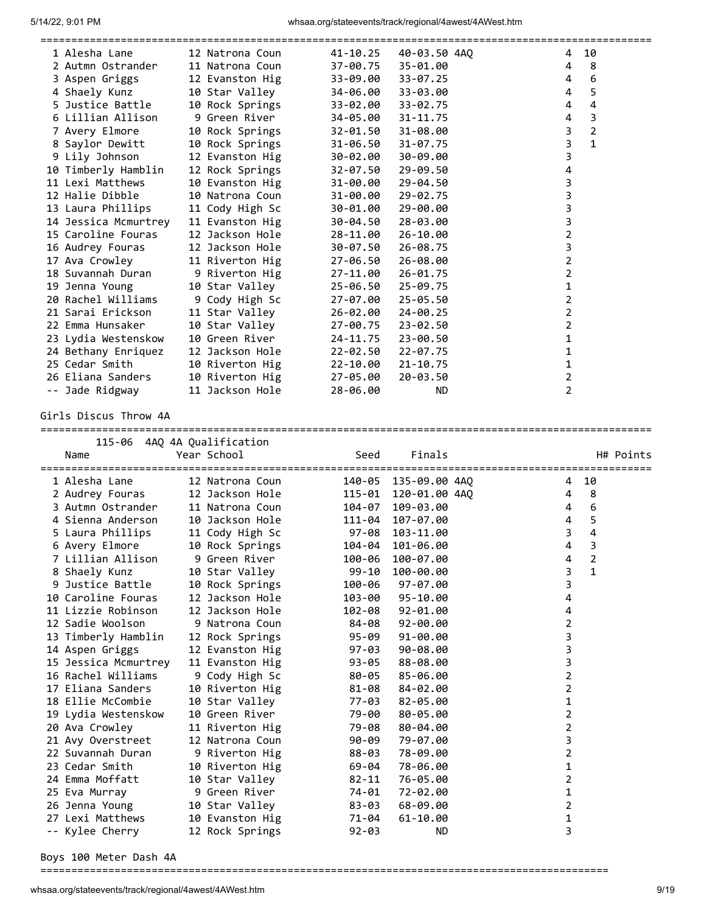| 1 Alesha Lane                    | 12 Natrona Coun             |                          | 41-10.25 | 40-03.50 4AO |                | 4              | 10             |
|----------------------------------|-----------------------------|--------------------------|----------|--------------|----------------|----------------|----------------|
| 2 Autmn Ostrander                | 11 Natrona Coun             |                          | 37-00.75 | 35-01.00     | 4              |                | 8              |
| 3 Aspen Griggs                   |                             | 12 Evanston Hig 33-09.00 |          | 33-07.25     |                | 4              | 6              |
| 4 Shaely Kunz                    |                             | 10 Star Valley 34-06.00  |          | 33-03.00     | $\overline{4}$ |                | 5              |
| 5 Justice Battle                 |                             | 10 Rock Springs          | 33-02.00 | 33-02.75     | 4              |                | $\overline{4}$ |
| 6 Lillian Allison                | 9 Green River      34-05.00 |                          |          | 31-11.75     | 4              |                | 3              |
| 7 Avery Elmore                   |                             | 10 Rock Springs 32-01.50 |          | 31-08.00     | 3              |                | $\overline{2}$ |
| 8 Saylor Dewitt                  |                             | 10 Rock Springs          | 31-06.50 | $31 - 07.75$ |                | $\overline{3}$ | $\mathbf{1}$   |
| 9 Lily Johnson                   |                             | 12 Evanston Hig          | 30-02.00 | 30-09.00     | 3              |                |                |
| 10 Timberly Hamblin              |                             | 12 Rock Springs          | 32-07.50 | 29-09.50     | 4              |                |                |
| 11 Lexi Matthews                 |                             | 10 Evanston Hig          | 31-00.00 | $29 - 04.50$ |                | 3              |                |
| 12 Halie Dibble                  |                             | 10 Natrona Coun          | 31-00.00 | 29-02.75     | 3              |                |                |
| 13 Laura Phillips                | 11 Cody High Sc             |                          | 30-01.00 | 29-00.00     | 3              |                |                |
| 14 Jessica Mcmurtrey             |                             | 11 Evanston Hig          | 30-04.50 | 28-03.00     | 3              |                |                |
| 15 Caroline Fouras               | 12 Jackson Hole             |                          | 28-11.00 | $26 - 10.00$ | $\overline{2}$ |                |                |
| 16 Audrey Fouras                 |                             | 12 Jackson Hole          | 30-07.50 | 26-08.75     | 3              |                |                |
| 17 Ava Crowley                   |                             | 11 Riverton Hig          | 27-06.50 | 26-08.00     | $\overline{2}$ |                |                |
| 18 Suvannah Duran 9 Riverton Hig |                             |                          | 27-11.00 | $26 - 01.75$ | $\overline{2}$ |                |                |
| 19 Jenna Young                   | 10 Star Valley              |                          | 25-06.50 | 25-09.75     | 1              |                |                |
| 20 Rachel Williams               |                             | 9 Cody High Sc           | 27-07.00 | $25 - 05.50$ | $\overline{2}$ |                |                |
| 21 Sarai Erickson                |                             | 11 Star Valley           | 26-02.00 | 24-00.25     | $\overline{2}$ |                |                |
| 22 Emma Hunsaker                 | 10 Star Valley              |                          | 27-00.75 | 23-02.50     | $\overline{2}$ |                |                |
| 23 Lydia Westenskow              |                             | 10 Green River           | 24-11.75 | 23-00.50     | 1              |                |                |
| 24 Bethany Enriquez              |                             | 12 Jackson Hole          | 22-02.50 | $22 - 07.75$ | 1              |                |                |
| 25 Cedar Smith                   |                             | 10 Riverton Hig          | 22-10.00 | $21 - 10.75$ | 1              |                |                |
| 26 Eliana Sanders                |                             | 10 Riverton Hig 27-05.00 |          | 20-03.50     | 2              |                |                |
| -- Jade Ridgway                  | 11 Jackson Hole             |                          | 28-06.00 | <b>ND</b>    | $\overline{2}$ |                |                |

Girls Discus Throw 4A

| 115-06 4AO 4A Oualification<br>Name | Year School     | Seed      | Finals        |                                      |                |                | H# Points |
|-------------------------------------|-----------------|-----------|---------------|--------------------------------------|----------------|----------------|-----------|
|                                     |                 |           |               | ==================================== |                |                |           |
| 1 Alesha Lane                       | 12 Natrona Coun | 140-05    | 135-09.00 4AO |                                      | 4              | 10             |           |
| 2 Audrey Fouras                     | 12 Jackson Hole | 115-01    | 120-01.00 4AO |                                      | 4              | 8              |           |
| 3 Autmn Ostrander                   | 11 Natrona Coun | 104-07    | 109-03.00     |                                      | 4              | 6              |           |
| 4 Sienna Anderson                   | 10 Jackson Hole | 111-04    | 107-07.00     |                                      | 4              | 5              |           |
| 5 Laura Phillips                    | 11 Cody High Sc | 97-08     | 103-11.00     |                                      | $\overline{3}$ | $\overline{4}$ |           |
| 6 Avery Elmore                      | 10 Rock Springs | 104-04    | 101-06.00     |                                      | 4              | 3              |           |
| 7 Lillian Allison                   | 9 Green River   | 100-06    | 100-07.00     |                                      | 4              | $\overline{2}$ |           |
| 8 Shaely Kunz                       | 10 Star Valley  | $99 - 10$ | 100-00.00     |                                      | 3              | $\mathbf{1}$   |           |
| 9 Justice Battle                    | 10 Rock Springs | 100-06    | $97 - 07.00$  |                                      | 3              |                |           |
| 10 Caroline Fouras                  | 12 Jackson Hole | 103-00    | 95-10.00      |                                      | 4              |                |           |
| 11 Lizzie Robinson                  | 12 Jackson Hole | 102-08    | $92 - 01.00$  |                                      | 4              |                |           |
| 12 Sadie Woolson                    | 9 Natrona Coun  | 84-08     | $92 - 00.00$  |                                      | 2              |                |           |
| 13 Timberly Hamblin                 | 12 Rock Springs | 95-09     | $91 - 00.00$  |                                      | 3              |                |           |
| 14 Aspen Griggs                     | 12 Evanston Hig | 97-03     | $90 - 08.00$  |                                      | 3              |                |           |
| 15 Jessica Mcmurtrey                | 11 Evanston Hig | 93-05     | 88-08.00      |                                      | 3              |                |           |
| 16 Rachel Williams                  | 9 Cody High Sc  | 80-05     | 85-06.00      |                                      | 2              |                |           |
| 17 Eliana Sanders                   | 10 Riverton Hig | 81-08     | 84-02.00      |                                      | 2              |                |           |
| 18 Ellie McCombie                   | 10 Star Valley  | 77-03     | 82-05.00      |                                      | 1              |                |           |
| 19 Lydia Westenskow                 | 10 Green River  | 79-00     | 80-05.00      |                                      | 2              |                |           |
| 20 Ava Crowley                      | 11 Riverton Hig | 79-08     | 80-04.00      |                                      | 2              |                |           |
| 21 Avy Overstreet                   | 12 Natrona Coun | $90 - 09$ | 79-07.00      |                                      | 3              |                |           |
| 22 Suvannah Duran                   | 9 Riverton Hig  | 88-03     | 78-09.00      |                                      | $\overline{2}$ |                |           |
| 23 Cedar Smith                      | 10 Riverton Hig | 69-04     | 78-06.00      |                                      | 1              |                |           |
| 24 Emma Moffatt                     | 10 Star Valley  | $82 - 11$ | 76-05.00      |                                      | 2              |                |           |
| 25 Eva Murray                       | 9 Green River   | 74-01     | 72-02.00      |                                      | 1              |                |           |
| 26 Jenna Young                      | 10 Star Valley  | 83-03     | 68-09.00      |                                      | 2              |                |           |
| 27 Lexi Matthews                    | 10 Evanston Hig | 71-04     | $61 - 10.00$  |                                      | 1              |                |           |
| -- Kylee Cherry                     | 12 Rock Springs | $92 - 03$ | <b>ND</b>     |                                      | 3              |                |           |

Boys 100 Meter Dash 4A

============================================================================================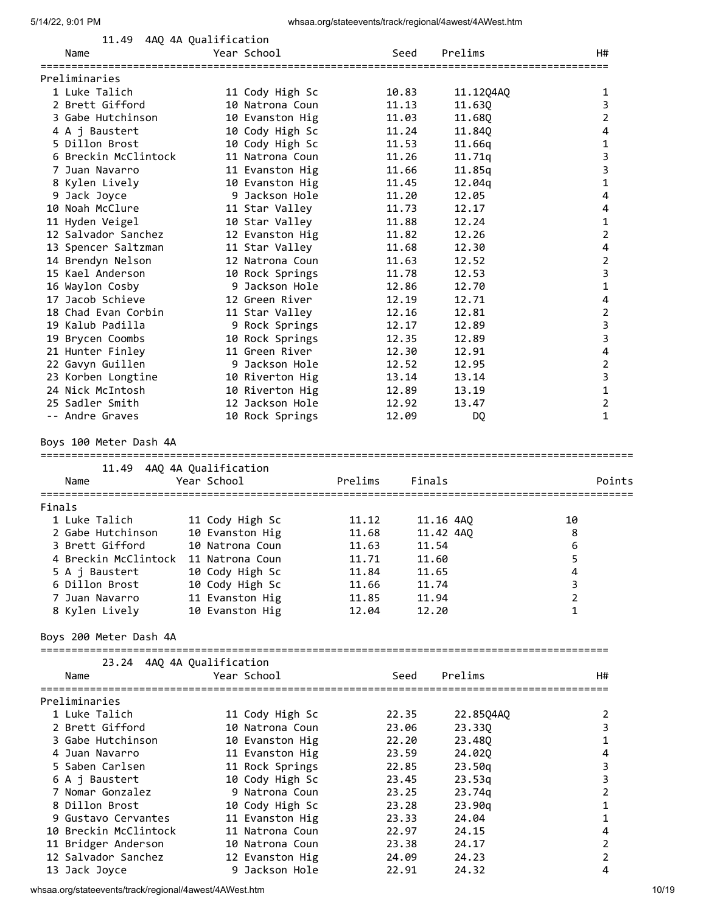|        | 11.49                                | 4AQ 4A Qualification               |                                  |                     |                     |
|--------|--------------------------------------|------------------------------------|----------------------------------|---------------------|---------------------|
|        | Name                                 | Year School                        | Seed                             | Prelims             | H#                  |
|        | ================                     |                                    |                                  |                     |                     |
|        | Preliminaries                        |                                    |                                  |                     |                     |
|        | 1 Luke Talich<br>2 Brett Gifford     | 11 Cody High Sc                    | 10.83<br>11.13                   | 11.12Q4AQ<br>11.630 | 1<br>3              |
|        | 3 Gabe Hutchinson                    | 10 Natrona Coun<br>10 Evanston Hig | 11.03                            | 11.68Q              | $\overline{2}$      |
|        | 4 A j Baustert                       | 10 Cody High Sc                    | 11.24                            | 11.84Q              | 4                   |
|        | 5 Dillon Brost                       | 10 Cody High Sc                    | 11.53                            | 11.66q              | 1                   |
|        | 6 Breckin McClintock                 | 11 Natrona Coun                    | 11.26                            | 11.71q              | 3                   |
|        | 7 Juan Navarro                       | 11 Evanston Hig                    | 11.66                            | 11.85q              | 3                   |
|        | 8 Kylen Lively                       | 10 Evanston Hig                    | 11.45                            | 12.04q              | 1                   |
|        | 9 Jack Joyce                         | 9 Jackson Hole                     | 11.20                            | 12.05               | 4                   |
|        | 10 Noah McClure                      | 11 Star Valley                     | 11.73                            | 12.17               | 4                   |
|        | 11 Hyden Veigel                      | 10 Star Valley                     | 11.88                            | 12.24               | 1                   |
|        | 12 Salvador Sanchez                  | 12 Evanston Hig                    | 11.82                            | 12.26               | $\overline{2}$      |
|        | 13 Spencer Saltzman                  | 11 Star Valley                     | 11.68                            | 12.30               | 4                   |
|        | 14 Brendyn Nelson                    | 12 Natrona Coun                    | 11.63                            | 12.52               | $\overline{2}$      |
|        | 15 Kael Anderson                     | 10 Rock Springs                    | 11.78                            | 12.53               | 3                   |
|        | 16 Waylon Cosby                      | 9 Jackson Hole                     | 12.86                            | 12.70               | 1                   |
|        | 17 Jacob Schieve                     | 12 Green River                     | 12.19                            | 12.71               | 4                   |
|        | 18 Chad Evan Corbin                  | 11 Star Valley                     | 12.16                            | 12.81               | 2                   |
|        | 19 Kalub Padilla                     | 9 Rock Springs                     | 12.17                            | 12.89               | 3                   |
|        | 19 Brycen Coombs                     | 10 Rock Springs                    | 12.35                            | 12.89               | 3                   |
|        | 21 Hunter Finley                     | 11 Green River                     | 12.30                            | 12.91               | 4                   |
|        | 22 Gavyn Guillen                     | 9 Jackson Hole                     | 12.52                            | 12.95               | $\overline{2}$      |
|        | 23 Korben Longtine                   | 10 Riverton Hig                    | 13.14                            | 13.14               | 3                   |
|        | 24 Nick McIntosh                     | 10 Riverton Hig                    | 12.89                            | 13.19               | 1                   |
|        | 25 Sadler Smith                      | 12 Jackson Hole                    | 12.92                            | 13.47               | $\overline{2}$      |
|        | -- Andre Graves                      | 10 Rock Springs                    | 12.09                            | DQ                  | $\mathbf{1}$        |
|        | Boys 100 Meter Dash 4A               |                                    |                                  |                     |                     |
|        |                                      | 11.49 4AQ 4A Qualification         |                                  |                     |                     |
|        | Name                                 | Year School                        | Prelims<br>Finals                |                     | Points              |
| Finals |                                      |                                    |                                  |                     |                     |
|        | 1 Luke Talich                        |                                    | 11.12                            |                     | 10                  |
|        |                                      | 11 Cody High Sc                    |                                  | 11.16 4AQ           |                     |
|        |                                      |                                    |                                  |                     |                     |
|        | 2 Gabe Hutchinson                    | 10 Evanston Hig                    | 11.68                            | 11.42 4AQ           | 8                   |
|        | 3 Brett Gifford                      | 10 Natrona Coun                    | 11.63<br>11.54                   |                     | 6                   |
|        | 4 Breckin McClintock                 | 11 Natrona Coun                    | 11.71<br>11.60                   |                     | 5                   |
|        | 5 A j Baustert                       | 10 Cody High Sc                    | 11.84<br>11.65                   |                     | 4                   |
|        | 6 Dillon Brost                       | 10 Cody High Sc                    | 11.66<br>11.74                   |                     | 3                   |
|        | 7 Juan Navarro                       | 11 Evanston Hig                    | 11.85<br>11.94<br>12.04<br>12.20 |                     | $\overline{2}$<br>1 |
|        | 8 Kylen Lively                       | 10 Evanston Hig                    |                                  |                     |                     |
|        | Boys 200 Meter Dash 4A               | 23.24 4AQ 4A Qualification         |                                  |                     |                     |
|        | Name                                 | Year School                        | Seed                             | Prelims             | H#                  |
|        |                                      |                                    |                                  |                     |                     |
|        | Preliminaries                        |                                    |                                  |                     |                     |
|        | 1 Luke Talich                        | 11 Cody High Sc                    | 22.35                            | 22.85Q4AQ           | 2                   |
|        | 2 Brett Gifford                      | 10 Natrona Coun                    | 23.06                            | 23.33Q              | 3                   |
|        | 3 Gabe Hutchinson                    | 10 Evanston Hig                    | 22.20                            | 23.48Q              | $\mathbf{1}$        |
|        | 4 Juan Navarro                       | 11 Evanston Hig                    | 23.59                            | 24.02Q              | 4                   |
|        | 5 Saben Carlsen                      | 11 Rock Springs                    | 22.85                            | 23.50q              | 3                   |
|        | 6 A j Baustert                       | 10 Cody High Sc                    | 23.45                            | 23.53q              | 3                   |
|        | 7 Nomar Gonzalez                     | 9 Natrona Coun                     | 23.25                            | 23.74q              | 2                   |
|        | 8 Dillon Brost                       | 10 Cody High Sc                    | 23.28                            | 23.90q              | 1                   |
|        | 9 Gustavo Cervantes                  | 11 Evanston Hig                    | 23.33                            | 24.04               | 1                   |
|        | 10 Breckin McClintock                | 11 Natrona Coun                    | 22.97                            | 24.15               | 4                   |
|        | 11 Bridger Anderson                  | 10 Natrona Coun                    | 23.38                            | 24.17               | $\overline{2}$      |
|        | 12 Salvador Sanchez<br>13 Jack Joyce | 12 Evanston Hig<br>9 Jackson Hole  | 24.09<br>22.91                   | 24.23<br>24.32      | $\overline{2}$<br>4 |

whsaa.org/stateevents/track/regional/4awest/4AWest.htm 10/19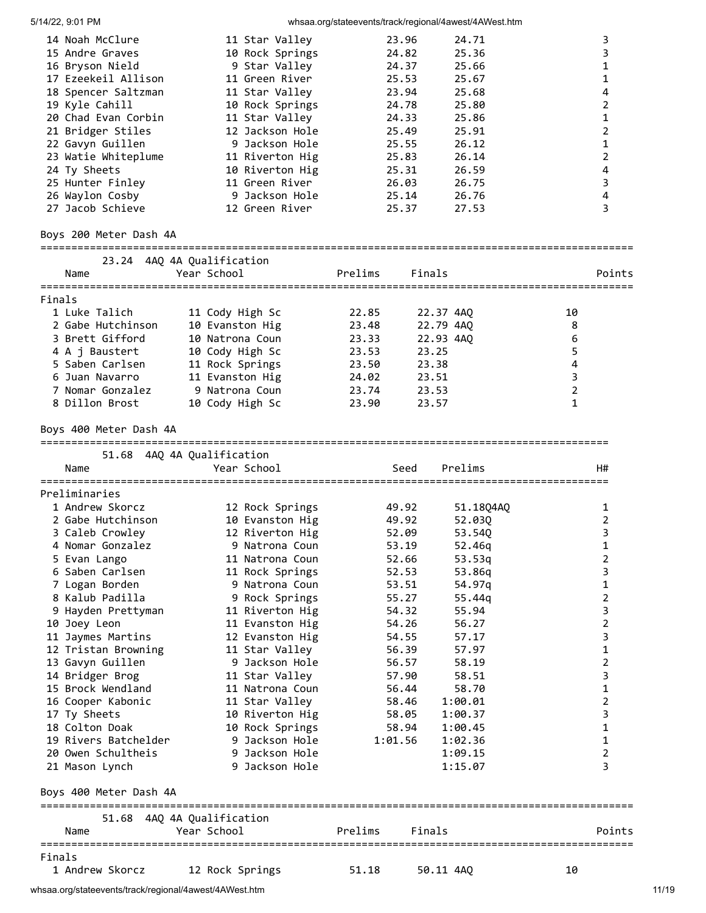|                                     |                                   | <u>cad.crg/clatocrefite/tracter.cg/cridi/ramoce-firmoclation</u> |                |
|-------------------------------------|-----------------------------------|------------------------------------------------------------------|----------------|
| 14 Noah McClure                     | 11 Star Valley                    | 24.71<br>23.96                                                   | 3              |
| 15 Andre Graves                     | 10 Rock Springs                   | 24.82<br>25.36                                                   | 3              |
| 16 Bryson Nield                     | 9 Star Valley                     | 24.37<br>25.66                                                   | 1              |
| 17 Ezeekeil Allison                 | 11 Green River                    | 25.53<br>25.67                                                   | 1              |
| 18 Spencer Saltzman                 | 11 Star Valley                    | 23.94<br>25.68                                                   | 4              |
| 19 Kyle Cahill                      | 10 Rock Springs                   | 24.78<br>25.80                                                   | 2              |
| 20 Chad Evan Corbin                 | 11 Star Valley                    | 24.33<br>25.86                                                   | 1              |
| 21 Bridger Stiles                   | 12 Jackson Hole                   | 25.49<br>25.91                                                   | 2              |
| 22 Gavyn Guillen                    | 9 Jackson Hole                    | 26.12<br>25.55                                                   | 1              |
| 23 Watie Whiteplume                 | 11 Riverton Hig                   | 25.83<br>26.14                                                   | $\overline{2}$ |
| 24 Ty Sheets                        |                                   | 25.31<br>26.59                                                   | 4              |
| 25 Hunter Finley                    | 10 Riverton Hig<br>11 Green River | 26.03<br>26.75                                                   | 3              |
|                                     | 9 Jackson Hole                    | 25.14<br>26.76                                                   | 4              |
| 26 Waylon Cosby<br>27 Jacob Schieve | 12 Green River                    | 25.37<br>27.53                                                   | 3              |
|                                     |                                   |                                                                  |                |
| Boys 200 Meter Dash 4A              |                                   | =============================                                    |                |
|                                     | 23.24 4AQ 4A Qualification        |                                                                  |                |
| Name                                | Year School                       | Prelims<br>Finals                                                | Points         |
|                                     |                                   |                                                                  |                |
| Finals                              |                                   |                                                                  |                |
| 1 Luke Talich                       | 11 Cody High Sc                   | 22.85<br>22.37 4AQ                                               | 10             |
| 2 Gabe Hutchinson                   | 10 Evanston Hig                   | 23.48<br>22.79 4AQ                                               | 8              |
| 3 Brett Gifford                     | 10 Natrona Coun                   | 23.33<br>22.93 4AQ                                               | 6              |
| 4 A j Baustert                      | 10 Cody High Sc                   | 23.53<br>23.25                                                   | 5              |
| 5 Saben Carlsen                     | 11 Rock Springs                   | 23.50<br>23.38                                                   | $\pmb{4}$      |
| 6 Juan Navarro                      | 11 Evanston Hig                   | 24.02<br>23.51                                                   | $\mathsf 3$    |
| 7 Nomar Gonzalez                    | 9 Natrona Coun                    | 23.74<br>23.53                                                   | $\overline{2}$ |
| 8 Dillon Brost                      | 10 Cody High Sc                   | 23.90<br>23.57                                                   | 1              |
| Boys 400 Meter Dash 4A              |                                   |                                                                  |                |
|                                     |                                   |                                                                  |                |
|                                     | 51.68 4AQ 4A Qualification        |                                                                  |                |
| Name<br>=========================   | Year School                       | Seed<br>Prelims                                                  | H#             |
| Preliminaries                       |                                   |                                                                  |                |
| 1 Andrew Skorcz                     | 12 Rock Springs                   | 49.92<br>51.18Q4AQ                                               | 1              |
| 2 Gabe Hutchinson                   | 10 Evanston Hig                   | 49.92<br>52.030                                                  | 2              |
| 3 Caleb Crowley                     | 12 Riverton Hig                   | 52.09<br>53.540                                                  | 3              |
| 4 Nomar Gonzalez                    | 9 Natrona Coun                    | 53.19<br>52.46q                                                  | 1              |
| 5 Evan Lango                        | 11 Natrona Coun                   | 52.66                                                            | 2              |
| 6 Saben Carlsen                     |                                   | 53.53q                                                           | 3              |
|                                     | 11 Rock Springs                   | 52.53<br>53.86q                                                  |                |
| 7 Logan Borden                      | 9 Natrona Coun                    | 54.97q<br>53.51                                                  | 1              |
| 8 Kalub Padilla                     | 9 Rock Springs                    | 55.27<br>55.44q                                                  | 2              |
| 9 Hayden Prettyman                  | 11 Riverton Hig                   | 54.32<br>55.94                                                   | 3              |
| 10 Joey Leon                        | 11 Evanston Hig                   | 54.26<br>56.27                                                   | $\overline{2}$ |
| 11 Jaymes Martins                   | 12 Evanston Hig                   | 57.17<br>54.55                                                   | 3              |
| 12 Tristan Browning                 | 11 Star Valley                    | 56.39<br>57.97                                                   | 1              |
| 13 Gavyn Guillen                    | 9 Jackson Hole                    | 56.57<br>58.19                                                   | 2              |
| 14 Bridger Brog                     | 11 Star Valley                    | 57.90<br>58.51                                                   | 3              |
| 15 Brock Wendland                   | 11 Natrona Coun                   | 58.70<br>56.44                                                   | $\mathbf{1}$   |
| 16 Cooper Kabonic                   | 11 Star Valley                    | 58.46<br>1:00.01                                                 | $\overline{2}$ |
| 17 Ty Sheets                        | 10 Riverton Hig                   | 58.05<br>1:00.37                                                 | 3              |
| 18 Colton Doak                      | 10 Rock Springs                   | 58.94<br>1:00.45                                                 | 1              |
| 19 Rivers Batchelder                | 9 Jackson Hole                    | 1:01.56<br>1:02.36                                               | 1              |
| 20 Owen Schultheis                  | 9 Jackson Hole                    | 1:09.15                                                          | 2              |
| 21 Mason Lynch                      | 9 Jackson Hole                    | 1:15.07                                                          | 3              |
|                                     |                                   |                                                                  |                |
| Boys 400 Meter Dash 4A              |                                   |                                                                  |                |
|                                     |                                   |                                                                  |                |
|                                     | 51.68 4AQ 4A Qualification        |                                                                  |                |
| Name                                | Year School                       | Prelims<br>Finals                                                | Points         |
| Finals                              |                                   |                                                                  |                |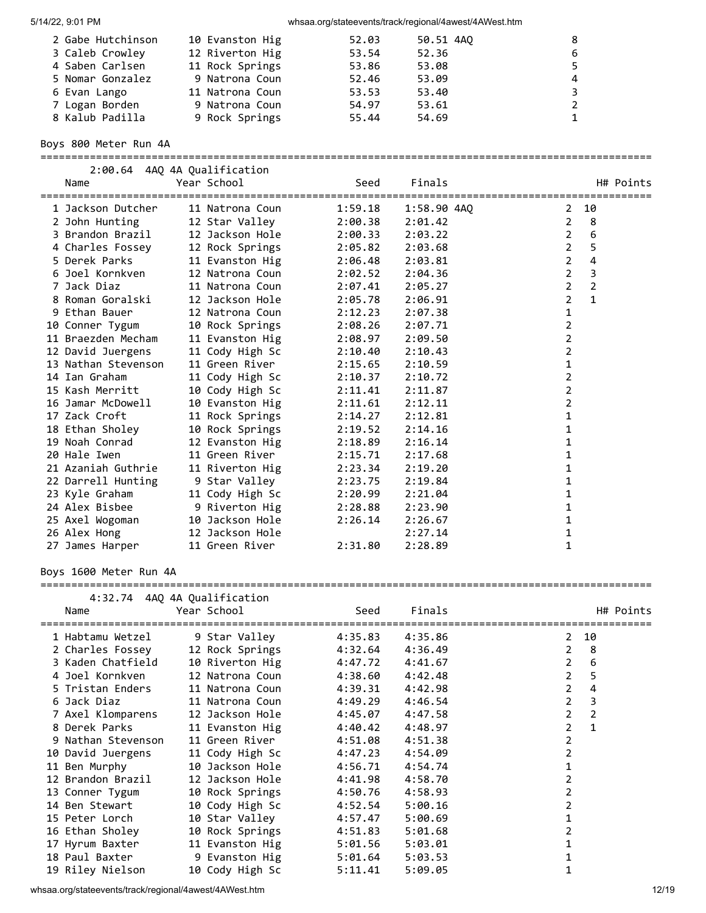| 2 Gabe Hutchinson | 10 Evanston Hig | 52.03 | 50.51 4AQ | 8              |
|-------------------|-----------------|-------|-----------|----------------|
| 3 Caleb Crowley   | 12 Riverton Hig | 53.54 | 52.36     | 6              |
| 4 Saben Carlsen   | 11 Rock Springs | 53.86 | 53.08     |                |
| 5 Nomar Gonzalez  | 9 Natrona Coun  | 52.46 | 53.09     | $\overline{4}$ |
| 6 Evan Lango      | 11 Natrona Coun | 53.53 | 53.40     | 3.             |
| 7 Logan Borden    | 9 Natrona Coun  | 54.97 | 53.61     | $\overline{2}$ |
| 8 Kalub Padilla   | 9 Rock Springs  | 55.44 | 54.69     |                |

Boys 800 Meter Run 4A

===================================================================================================

| Name                | 2:00.64 4AQ 4A Qualification<br>Year School | Seed    | Finals      | H# Points                        |
|---------------------|---------------------------------------------|---------|-------------|----------------------------------|
| 1 Jackson Dutcher   | 11 Natrona Coun                             | 1:59.18 | 1:58.90 4AO | 10<br>2                          |
| 2 John Hunting      | 12 Star Valley                              | 2:00.38 | 2:01.42     | 8<br>2                           |
| 3 Brandon Brazil    | 12 Jackson Hole                             | 2:00.33 | 2:03.22     | 6<br>$\overline{2}$              |
| 4 Charles Fossey    | 12 Rock Springs                             | 2:05.82 | 2:03.68     | 5<br>2                           |
| 5 Derek Parks       | 11 Evanston Hig                             | 2:06.48 | 2:03.81     | $\overline{2}$<br>4              |
| 6 Joel Kornkven     | 12 Natrona Coun                             | 2:02.52 | 2:04.36     | 3<br>$\overline{2}$              |
| 7 Jack Diaz         | 11 Natrona Coun                             | 2:07.41 | 2:05.27     | $\overline{2}$<br>$\overline{2}$ |
| 8 Roman Goralski    | 12 Jackson Hole                             | 2:05.78 | 2:06.91     | $\mathbf{1}$<br>2                |
| 9 Ethan Bauer       | 12 Natrona Coun                             | 2:12.23 | 2:07.38     | 1                                |
| 10 Conner Tygum     | 10 Rock Springs                             | 2:08.26 | 2:07.71     | 2                                |
| 11 Braezden Mecham  | 11 Evanston Hig                             | 2:08.97 | 2:09.50     | $\overline{2}$                   |
| 12 David Juergens   | 11 Cody High Sc                             | 2:10.40 | 2:10.43     | $\overline{2}$                   |
| 13 Nathan Stevenson | 11 Green River                              | 2:15.65 | 2:10.59     | 1                                |
| 14 Ian Graham       | 11 Cody High Sc                             | 2:10.37 | 2:10.72     | 2                                |
| 15 Kash Merritt     | 10 Cody High Sc                             | 2:11.41 | 2:11.87     | 2                                |
| 16 Jamar McDowell   | 10 Evanston Hig                             | 2:11.61 | 2:12.11     | 2                                |
| 17 Zack Croft       | 11 Rock Springs                             | 2:14.27 | 2:12.81     | 1                                |
| 18 Ethan Sholey     | 10 Rock Springs                             | 2:19.52 | 2:14.16     | 1                                |
| 19 Noah Conrad      | 12 Evanston Hig                             | 2:18.89 | 2:16.14     | 1                                |
| 20 Hale Iwen        | 11 Green River                              | 2:15.71 | 2:17.68     | 1                                |
| 21 Azaniah Guthrie  | 11 Riverton Hig                             | 2:23.34 | 2:19.20     | 1                                |
| 22 Darrell Hunting  | 9 Star Valley                               | 2:23.75 | 2:19.84     | 1                                |
| 23 Kyle Graham      | 11 Cody High Sc                             | 2:20.99 | 2:21.04     | 1                                |
| 24 Alex Bisbee      | 9 Riverton Hig                              | 2:28.88 | 2:23.90     | 1                                |
| 25 Axel Wogoman     | 10 Jackson Hole                             | 2:26.14 | 2:26.67     | 1                                |
| 26 Alex Hong        | 12 Jackson Hole                             |         | 2:27.14     | 1                                |
| 27 James Harper     | 11 Green River                              | 2:31.80 | 2:28.89     | 1                                |

Boys 1600 Meter Run 4A

===================================================================================================

|                    | 4:32.74 4AQ 4A Qualification |                                  |         |         |                |                |           |
|--------------------|------------------------------|----------------------------------|---------|---------|----------------|----------------|-----------|
| Name               |                              | Year School                      | Seed    | Finals  |                |                | H# Points |
|                    |                              | 1 Habtamu Wetzel 9 Star Valley   | 4:35.83 | 4:35.86 |                | $2 \t10$       |           |
|                    |                              | 2 Charles Fossey 12 Rock Springs | 4:32.64 | 4:36.49 |                | $2 \quad 8$    |           |
| 3 Kaden Chatfield  |                              | 10 Riverton Hig                  | 4:47.72 | 4:41.67 | $\overline{2}$ | 6              |           |
| 4 Joel Kornkven    |                              | 12 Natrona Coun                  | 4:38.60 | 4:42.48 | $2^{\circ}$    | 5              |           |
| 5 Tristan Enders   |                              | 11 Natrona Coun                  | 4:39.31 | 4:42.98 | $\overline{2}$ | 4              |           |
| 6 Jack Diaz        |                              | 11 Natrona Coun                  | 4:49.29 | 4:46.54 | $\overline{2}$ | 3              |           |
| 7 Axel Klomparens  |                              | 12 Jackson Hole                  | 4:45.07 | 4:47.58 | $\overline{2}$ | $\overline{2}$ |           |
| 8 Derek Parks      |                              | 11 Evanston Hig                  | 4:40.42 | 4:48.97 | $\overline{2}$ | $\mathbf{1}$   |           |
| 9 Nathan Stevenson |                              | 11 Green River                   | 4:51.08 | 4:51.38 | $\overline{2}$ |                |           |
| 10 David Juergens  |                              | 11 Cody High Sc                  | 4:47.23 | 4:54.09 | $\overline{2}$ |                |           |
| 11 Ben Murphy      |                              | 10 Jackson Hole                  | 4:56.71 | 4:54.74 |                |                |           |
| 12 Brandon Brazil  |                              | 12 Jackson Hole                  | 4:41.98 | 4:58.70 | $\overline{2}$ |                |           |
| 13 Conner Tygum    |                              | 10 Rock Springs                  | 4:50.76 | 4:58.93 | $\overline{2}$ |                |           |
| 14 Ben Stewart     |                              | 10 Cody High Sc                  | 4:52.54 | 5:00.16 | 2              |                |           |
| 15 Peter Lorch     |                              | 10 Star Valley                   | 4:57.47 | 5:00.69 |                |                |           |
| 16 Ethan Sholey    |                              | 10 Rock Springs                  | 4:51.83 | 5:01.68 |                |                |           |
| 17 Hyrum Baxter    |                              | 11 Evanston Hig                  | 5:01.56 | 5:03.01 |                |                |           |
|                    |                              | 18 Paul Baxter 9 Evanston Hig    | 5:01.64 | 5:03.53 |                |                |           |
| 19 Riley Nielson   |                              | 10 Cody High Sc                  | 5:11.41 | 5:09.05 |                |                |           |

whsaa.org/stateevents/track/regional/4awest/4AWest.htm 12/19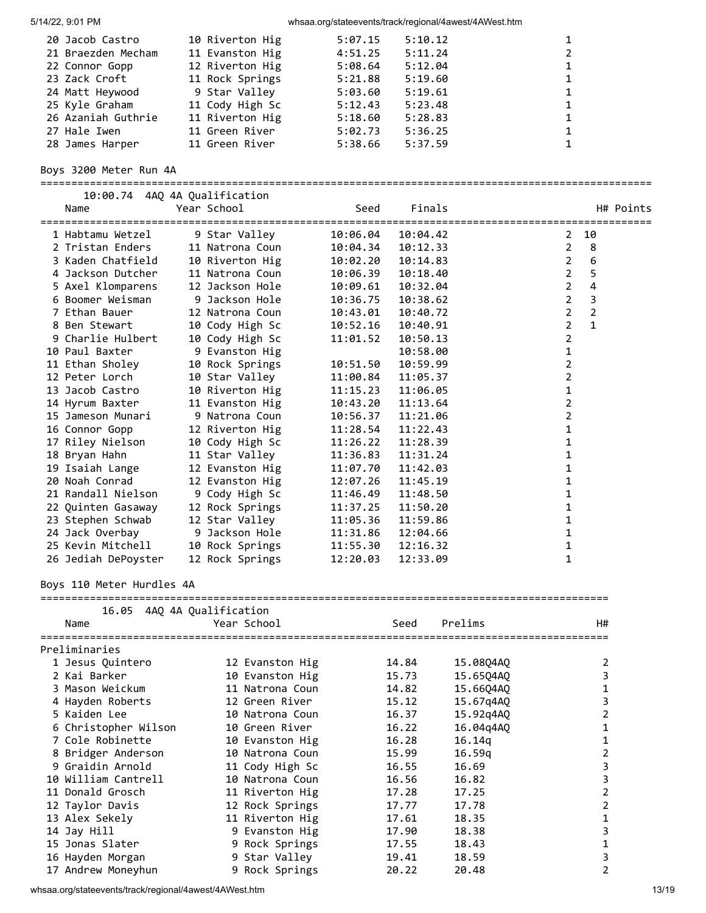| 20 Jacob Castro    | 10 Riverton Hig | 5:07.15 | 5:10.12 |   |
|--------------------|-----------------|---------|---------|---|
| 21 Braezden Mecham | 11 Evanston Hig | 4:51.25 | 5:11.24 | 2 |
| 22 Connor Gopp     | 12 Riverton Hig | 5:08.64 | 5:12.04 | 1 |
| 23 Zack Croft      | 11 Rock Springs | 5:21.88 | 5:19.60 | 1 |
| 24 Matt Heywood    | 9 Star Valley   | 5:03.60 | 5:19.61 | 1 |
| 25 Kyle Graham     | 11 Cody High Sc | 5:12.43 | 5:23.48 | 1 |
| 26 Azaniah Guthrie | 11 Riverton Hig | 5:18.60 | 5:28.83 | 1 |
| 27 Hale Iwen       | 11 Green River  | 5:02.73 | 5:36.25 | 1 |
| 28 James Harper    | 11 Green River  | 5:38.66 | 5:37.59 |   |
|                    |                 |         |         |   |

### Boys 3200 Meter Run 4A

===================================================================================================

| 10:00.74 4AQ 4A Qualification |                 |          |          |           |                |                         |
|-------------------------------|-----------------|----------|----------|-----------|----------------|-------------------------|
| Name                          | Year School     | Seed     | Finals   |           |                | H# Points               |
| 1 Habtamu Wetzel              | 9 Star Valley   | 10:06.04 | 10:04.42 |           | 2              | 10                      |
| 2 Tristan Enders              | 11 Natrona Coun | 10:04.34 | 10:12.33 |           | $\overline{2}$ | 8                       |
| 3 Kaden Chatfield             | 10 Riverton Hig | 10:02.20 | 10:14.83 |           | $\overline{2}$ | 6                       |
| 4 Jackson Dutcher             | 11 Natrona Coun | 10:06.39 | 10:18.40 |           | $\overline{2}$ | 5                       |
| 5 Axel Klomparens             | 12 Jackson Hole | 10:09.61 | 10:32.04 |           | $\overline{2}$ | $\overline{4}$          |
| 6 Boomer Weisman              | 9 Jackson Hole  | 10:36.75 | 10:38.62 |           | $\overline{2}$ | $\overline{\mathbf{3}}$ |
| 7 Ethan Bauer                 | 12 Natrona Coun | 10:43.01 | 10:40.72 |           | $\overline{2}$ | 2                       |
| 8 Ben Stewart                 | 10 Cody High Sc | 10:52.16 | 10:40.91 |           | $\overline{2}$ | $\mathbf{1}$            |
| 9 Charlie Hulbert             | 10 Cody High Sc | 11:01.52 | 10:50.13 |           | 2              |                         |
| 10 Paul Baxter                | 9 Evanston Hig  |          | 10:58.00 |           | 1              |                         |
| 11 Ethan Sholey               | 10 Rock Springs | 10:51.50 | 10:59.99 |           | 2              |                         |
| 12 Peter Lorch                | 10 Star Valley  | 11:00.84 | 11:05.37 |           | 2              |                         |
| 13 Jacob Castro               |                 |          |          |           | 1              |                         |
|                               | 10 Riverton Hig | 11:15.23 | 11:06.05 |           |                |                         |
| 14 Hyrum Baxter               | 11 Evanston Hig | 10:43.20 | 11:13.64 |           | 2              |                         |
| 15 Jameson Munari             | 9 Natrona Coun  | 10:56.37 | 11:21.06 |           | 2              |                         |
| 16 Connor Gopp                | 12 Riverton Hig | 11:28.54 | 11:22.43 |           | 1              |                         |
| 17 Riley Nielson              | 10 Cody High Sc | 11:26.22 | 11:28.39 |           | 1              |                         |
| 18 Bryan Hahn                 | 11 Star Valley  | 11:36.83 | 11:31.24 |           | 1              |                         |
| 19 Isaiah Lange               | 12 Evanston Hig | 11:07.70 | 11:42.03 |           | 1              |                         |
| 20 Noah Conrad                | 12 Evanston Hig | 12:07.26 | 11:45.19 |           | 1              |                         |
| 21 Randall Nielson            | 9 Cody High Sc  | 11:46.49 | 11:48.50 |           | 1              |                         |
| 22 Quinten Gasaway            | 12 Rock Springs | 11:37.25 | 11:50.20 |           | 1              |                         |
| 23 Stephen Schwab             | 12 Star Valley  | 11:05.36 | 11:59.86 |           | 1              |                         |
| 24 Jack Overbay               | 9 Jackson Hole  | 11:31.86 | 12:04.66 |           | 1              |                         |
| 25 Kevin Mitchell             | 10 Rock Springs | 11:55.30 | 12:16.32 |           | 1              |                         |
| 26 Jediah DePoyster           | 12 Rock Springs | 12:20.03 | 12:33.09 |           | 1              |                         |
| Boys 110 Meter Hurdles 4A     |                 |          |          |           |                |                         |
|                               |                 |          |          |           |                |                         |
| 16.05 4AQ 4A Qualification    |                 |          |          |           |                |                         |
| Name                          | Year School     |          | Seed     | Prelims   |                | H#                      |
|                               |                 |          |          |           |                |                         |
| Preliminaries                 |                 |          |          |           |                |                         |
| 1 Jesus Quintero              | 12 Evanston Hig |          | 14.84    | 15.08Q4AQ |                | $\overline{2}$          |
| 2 Kai Barker                  | 10 Evanston Hig |          | 15.73    | 15.65Q4AQ |                | 3                       |
| 3 Mason Weickum               | 11 Natrona Coun |          | 14.82    | 15.66Q4AQ |                | $\mathbf 1$             |
| 4 Hayden Roberts              | 12 Green River  |          | 15.12    | 15.67q4AQ |                | 3                       |
| 5 Kaiden Lee                  | 10 Natrona Coun |          | 16.37    | 15.92q4AQ |                | 2                       |
| 6 Christopher Wilson          | 10 Green River  |          | 16.22    | 16.04q4AQ |                | 1                       |
| 7 Cole Robinette              | 10 Evanston Hig |          | 16.28    | 16.14q    |                | 1                       |
| 8 Bridger Anderson            | 10 Natrona Coun |          | 15.99    | 16.59q    |                | 2                       |
| 9 Graidin Arnold              | 11 Cody High Sc |          | 16.55    | 16.69     |                | 3                       |
| 10 William Cantrell           | 10 Natrona Coun |          | 16.56    | 16.82     |                | 3                       |
| 11 Donald Grosch              | 11 Riverton Hig |          | 17.28    | 17.25     |                | 2                       |
| 12 Taylor Davis               | 12 Rock Springs |          | 17.77    | 17.78     |                | 2                       |
| 13 Alex Sekely                | 11 Riverton Hig |          | 17.61    | 18.35     |                | 1                       |
| 14 Jay Hill                   | 9 Evanston Hig  |          | 17.90    | 18.38     |                | 3                       |
| 15 Jonas Slater               | 9 Rock Springs  |          | 17.55    | 18.43     |                | 1                       |
| 16 Hayden Morgan              | 9 Star Valley   |          | 19.41    | 18.59     |                | 3                       |
| 17 Andrew Moneyhun            | 9 Rock Springs  |          | 20.22    | 20.48     |                | 2                       |

whsaa.org/stateevents/track/regional/4awest/4AWest.htm 13/19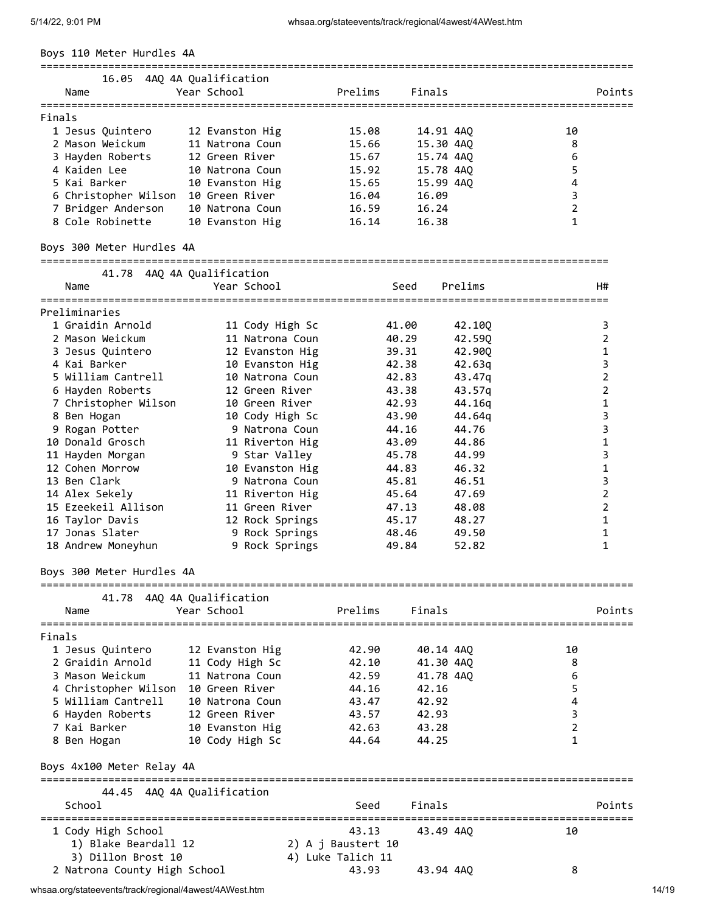Boys 110 Meter Hurdles 4A

| BOYS II0 METER HURUIES 4A           |                                           |                    |           |                 |                |                       |
|-------------------------------------|-------------------------------------------|--------------------|-----------|-----------------|----------------|-----------------------|
| Name                                | 16.05 4AQ 4A Qualification<br>Year School | Prelims            | Finals    |                 |                | Points                |
| Finals                              |                                           |                    |           |                 |                |                       |
| 1 Jesus Quintero                    | 12 Evanston Hig                           | 15.08              | 14.91 4AQ |                 | 10             |                       |
| 2 Mason Weickum                     | 11 Natrona Coun                           | 15.66              | 15.30 4AQ |                 | 8              |                       |
| 3 Hayden Roberts                    | 12 Green River                            | 15.67              | 15.74 4AQ |                 | 6              |                       |
| 4 Kaiden Lee                        | 10 Natrona Coun                           | 15.92              | 15.78 4AQ |                 | 5              |                       |
| 5 Kai Barker                        | 10 Evanston Hig                           | 15.65              | 15.99 4AQ |                 | 4              |                       |
| 6 Christopher Wilson 10 Green River |                                           | 16.04              | 16.09     |                 | 3              |                       |
| 7 Bridger Anderson                  | 10 Natrona Coun                           | 16.59              | 16.24     |                 | $\overline{2}$ |                       |
| 8 Cole Robinette                    | 10 Evanston Hig                           | 16.14              | 16.38     |                 | 1              |                       |
| Boys 300 Meter Hurdles 4A           |                                           |                    |           |                 |                |                       |
|                                     | 41.78 4AQ 4A Qualification                |                    |           |                 |                |                       |
| Name                                | Year School                               |                    | Seed      | Prelims         |                | H#                    |
| Preliminaries                       |                                           |                    |           |                 |                |                       |
| 1 Graidin Arnold                    | 11 Cody High Sc                           |                    | 41.00     | 42.100          |                | 3                     |
| 2 Mason Weickum                     | 11 Natrona Coun                           |                    | 40.29     | 42.590          |                | 2                     |
| 3 Jesus Quintero                    | 12 Evanston Hig                           |                    | 39.31     | 42.90Q          |                | 1                     |
| 4 Kai Barker                        | 10 Evanston Hig                           |                    | 42.38     | 42.63q          |                | 3                     |
| 5 William Cantrell                  | 10 Natrona Coun                           |                    | 42.83     | 43.47q          |                | $\overline{2}$        |
| 6 Hayden Roberts                    | 12 Green River                            |                    | 43.38     | 43.57q          |                | $\overline{2}$        |
| 7 Christopher Wilson                | 10 Green River                            |                    | 42.93     | 44.16q          |                | 1                     |
| 8 Ben Hogan                         | 10 Cody High Sc                           |                    | 43.90     | 44.64q          |                | 3                     |
| 9 Rogan Potter                      | 9 Natrona Coun                            |                    | 44.16     | 44.76           |                | 3                     |
| 10 Donald Grosch                    | 11 Riverton Hig                           |                    | 43.09     | 44.86           |                | 1                     |
| 11 Hayden Morgan                    | 9 Star Valley                             |                    | 45.78     | 44.99           |                | 3                     |
| 12 Cohen Morrow                     | 10 Evanston Hig                           |                    | 44.83     | 46.32           |                | $\mathbf 1$           |
| 13 Ben Clark                        | 9 Natrona Coun                            |                    | 45.81     | 46.51           |                | 3                     |
| 14 Alex Sekely                      | 11 Riverton Hig                           |                    | 45.64     | 47.69           |                | $\overline{2}$        |
| 15 Ezeekeil Allison                 | 11 Green River                            |                    | 47.13     | 48.08           |                | 2                     |
| 16 Taylor Davis                     | 12 Rock Springs                           |                    | 45.17     | 48.27           |                | 1                     |
| 17 Jonas Slater                     | 9 Rock Springs                            |                    | 48.46     | 49.50           |                | 1                     |
| 18 Andrew Moneyhun                  | 9 Rock Springs                            |                    | 49.84     | 52.82           |                | 1                     |
| Boys 300 Meter Hurdles 4A           | =================                         |                    |           |                 |                |                       |
|                                     | 41.78 4AQ 4A Qualification                |                    |           |                 |                |                       |
| Name<br>======================      | Year School                               | Prelims            | Finals    |                 |                | Points<br>=========== |
| Finals                              |                                           |                    |           |                 |                |                       |
| 1 Jesus Quintero                    | 12 Evanston Hig                           | 42.90              | 40.14 4AQ |                 | 10             |                       |
| 2 Graidin Arnold                    | 11 Cody High Sc                           | 42.10              | 41.30 4AQ |                 | 8              |                       |
| 3 Mason Weickum                     | 11 Natrona Coun                           | 42.59              | 41.78 4AQ |                 | 6              |                       |
| 4 Christopher Wilson                | 10 Green River                            | 44.16              | 42.16     |                 | 5              |                       |
| 5 William Cantrell                  | 10 Natrona Coun                           | 43.47              | 42.92     |                 | 4              |                       |
| 6 Hayden Roberts                    | 12 Green River                            | 43.57              | 42.93     |                 | 3              |                       |
| 7 Kai Barker                        | 10 Evanston Hig                           | 42.63              | 43.28     |                 | 2              |                       |
| 8 Ben Hogan                         | 10 Cody High Sc                           | 44.64              | 44.25     |                 | 1              |                       |
| Boys 4x100 Meter Relay 4A           |                                           |                    |           |                 |                |                       |
| School                              | 44.45 4AQ 4A Qualification                | Seed               | Finals    |                 |                | Points                |
| ===========================         |                                           |                    |           | =============== |                | ============          |
| 1 Cody High School                  |                                           | 43.13              | 43.49 4AQ |                 | 10             |                       |
| 1) Blake Beardall 12                |                                           | 2) A j Baustert 10 |           |                 |                |                       |
| 3) Dillon Brost 10                  |                                           | 4) Luke Talich 11  |           |                 |                |                       |
| 2 Natrona County High School        |                                           | 43.93              | 43.94 4AQ |                 | 8              |                       |

2 Natrona County High School (2008) 43.93 43.94 4AQ 8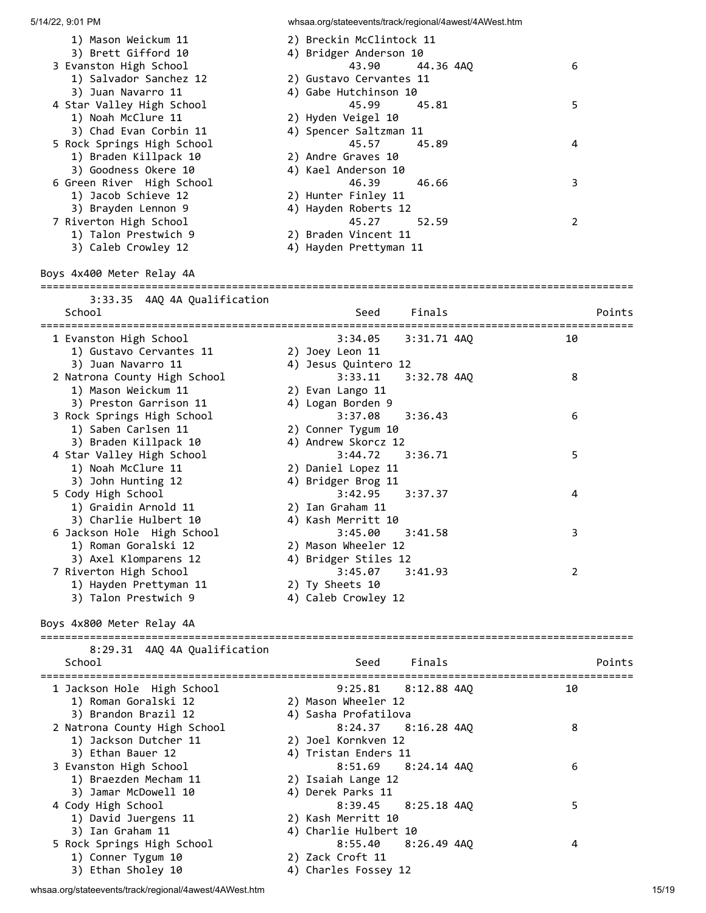| 1) Mason Weickum 11                          | 2) Breckin McClintock 11                  |                |
|----------------------------------------------|-------------------------------------------|----------------|
| 3) Brett Gifford 10                          | 4) Bridger Anderson 10                    |                |
| 3 Evanston High School                       | 43.90<br>44.36 4AQ                        | 6              |
| 1) Salvador Sanchez 12                       | 2) Gustavo Cervantes 11                   |                |
| 3) Juan Navarro 11                           | 4) Gabe Hutchinson 10                     |                |
| 4 Star Valley High School                    | 45.99<br>45.81                            | 5              |
| 1) Noah McClure 11                           | 2) Hyden Veigel 10                        |                |
| 3) Chad Evan Corbin 11                       | 4) Spencer Saltzman 11                    |                |
| 5 Rock Springs High School                   | 45.57<br>45.89                            | 4              |
| 1) Braden Killpack 10                        | 2) Andre Graves 10                        |                |
| 3) Goodness Okere 10                         | 4) Kael Anderson 10                       |                |
| 6 Green River High School                    | 46.39<br>46.66                            | 3              |
| 1) Jacob Schieve 12                          | 2) Hunter Finley 11                       |                |
| 3) Brayden Lennon 9                          | 4) Hayden Roberts 12                      |                |
| 7 Riverton High School                       | 45.27<br>52.59                            | $\overline{2}$ |
| 1) Talon Prestwich 9                         | 2) Braden Vincent 11                      |                |
| 3) Caleb Crowley 12                          | 4) Hayden Prettyman 11                    |                |
| Boys 4x400 Meter Relay 4A                    |                                           |                |
|                                              |                                           |                |
| 3:33.35 4AQ 4A Qualification                 |                                           |                |
| School                                       | Finals<br>Seed                            | Points         |
|                                              |                                           |                |
| 1 Evanston High School                       | 3:34.05<br>3:31.71 4AQ                    | 10             |
| 1) Gustavo Cervantes 11                      | 2) Joey Leon 11                           |                |
| 3) Juan Navarro 11                           | 4) Jesus Quintero 12                      |                |
| 2 Natrona County High School                 | 3:33.11<br>$3:32.78$ $4AQ$                | 8              |
| 1) Mason Weickum 11                          | 2) Evan Lango 11                          |                |
| 3) Preston Garrison 11                       | 4) Logan Borden 9<br>3:37.08              |                |
| 3 Rock Springs High School                   | 3:36.43                                   | 6              |
| 1) Saben Carlsen 11<br>3) Braden Killpack 10 | 2) Conner Tygum 10<br>4) Andrew Skorcz 12 |                |
| 4 Star Valley High School                    | 3:44.72<br>3:36.71                        | 5              |
| 1) Noah McClure 11                           | 2) Daniel Lopez 11                        |                |
| 3) John Hunting 12                           | 4) Bridger Brog 11                        |                |
| 5 Cody High School                           | 3:42.95<br>3:37.37                        | 4              |
| 1) Graidin Arnold 11                         | 2) Ian Graham 11                          |                |
| 3) Charlie Hulbert 10                        | 4) Kash Merritt 10                        |                |
| 6 Jackson Hole High School                   | 3:45.00<br>3:41.58                        | 3              |
| 1) Roman Goralski 12                         | 2) Mason Wheeler 12                       |                |
| 3) Axel Klomparens 12                        | 4) Bridger Stiles 12                      |                |
| 7 Riverton High School                       | 3:45.07<br>3:41.93                        | 2              |
| 1) Hayden Prettyman 11                       | 2) Ty Sheets 10                           |                |
| 3) Talon Prestwich 9                         | 4) Caleb Crowley 12                       |                |
|                                              |                                           |                |
| Boys 4x800 Meter Relay 4A                    |                                           |                |
| 8:29.31 4AQ 4A Qualification                 |                                           |                |
| School                                       | Finals<br>Seed                            | Points         |
| 1 Jackson Hole High School                   | 9:25.81<br>$8:12.88$ 4AQ                  | 10             |
| 1) Roman Goralski 12                         | 2) Mason Wheeler 12                       |                |
| 3) Brandon Brazil 12                         | 4) Sasha Profatilova                      |                |
| 2 Natrona County High School                 | 8:24.37<br>$8:16.28$ 4AQ                  | 8              |
| 1) Jackson Dutcher 11                        | 2) Joel Kornkven 12                       |                |
| 3) Ethan Bauer 12                            | 4) Tristan Enders 11                      |                |
| 3 Evanston High School                       | 8:51.69<br>$8:24.14$ $4AQ$                | 6              |
| 1) Braezden Mecham 11                        | 2) Isaiah Lange 12                        |                |
| 3) Jamar McDowell 10                         | 4) Derek Parks 11                         |                |
| 4 Cody High School                           | 8:39.45<br>$8:25.18$ 4AQ                  | 5              |
| 1) David Juergens 11                         | 2) Kash Merritt 10                        |                |
| 3) Ian Graham 11                             | 4) Charlie Hulbert 10                     |                |
| 5 Rock Springs High School                   | 8:55.40<br>$8:26.49$ $4AQ$                | 4              |
| 1) Conner Tygum 10                           | 2) Zack Croft 11                          |                |
| 3) Ethan Sholey 10                           | 4) Charles Fossey 12                      |                |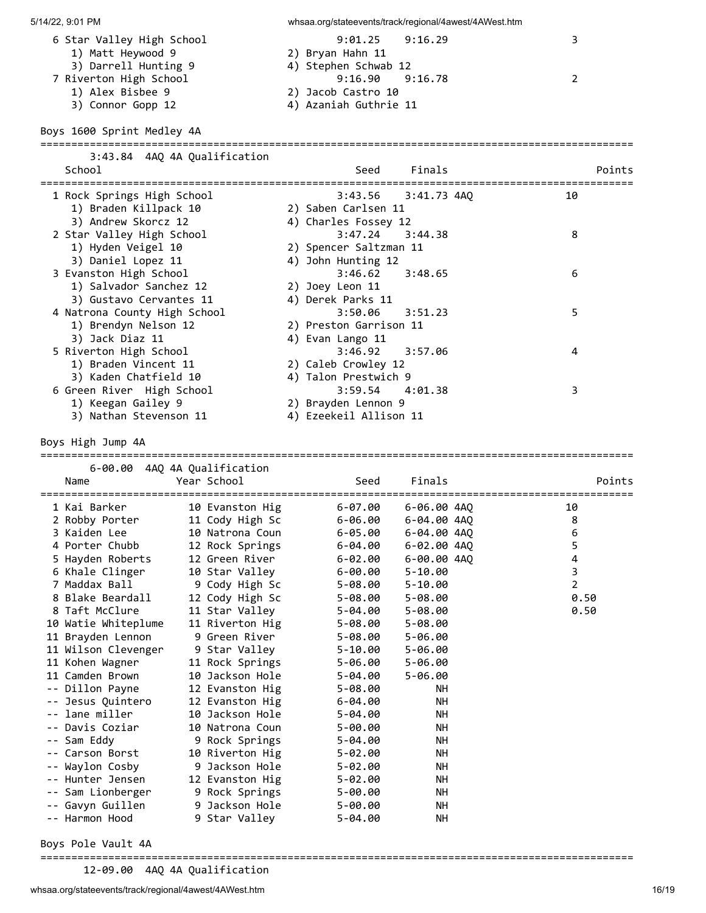| <b>ル 1<del>4</del>/ムム、 ウ.UI F ⅣI</b>                                                                                                      |                                             | wiisaa.0ig/stateeverits/track/regiorial/4awest/4Avvest.html                                                                         |                                      |
|-------------------------------------------------------------------------------------------------------------------------------------------|---------------------------------------------|-------------------------------------------------------------------------------------------------------------------------------------|--------------------------------------|
| 6 Star Valley High School<br>1) Matt Heywood 9<br>3) Darrell Hunting 9<br>7 Riverton High School<br>1) Alex Bisbee 9<br>3) Connor Gopp 12 |                                             | 9:01.25<br>9:16.29<br>2) Bryan Hahn 11<br>4) Stephen Schwab 12<br>9:16.90<br>9:16.78<br>2) Jacob Castro 10<br>4) Azaniah Guthrie 11 | 3<br>$\overline{2}$                  |
| Boys 1600 Sprint Medley 4A                                                                                                                |                                             |                                                                                                                                     |                                      |
|                                                                                                                                           | 3:43.84 4AQ 4A Qualification                |                                                                                                                                     |                                      |
| School                                                                                                                                    |                                             | Seed<br>Finals                                                                                                                      | Points<br>========================== |
| 1 Rock Springs High School<br>1) Braden Killpack 10<br>3) Andrew Skorcz 12                                                                |                                             | 3:43.56<br>3:41.73 4AO<br>2) Saben Carlsen 11<br>4) Charles Fossey 12                                                               | 10                                   |
| 2 Star Valley High School<br>1) Hyden Veigel 10<br>3) Daniel Lopez 11                                                                     |                                             | 3:47.24<br>3:44.38<br>2) Spencer Saltzman 11<br>4) John Hunting 12                                                                  | 8                                    |
| 3 Evanston High School<br>1) Salvador Sanchez 12<br>3) Gustavo Cervantes 11                                                               |                                             | 3:46.62<br>3:48.65<br>2) Joey Leon 11<br>4) Derek Parks 11                                                                          | 6                                    |
| 4 Natrona County High School<br>1) Brendyn Nelson 12<br>3) Jack Diaz 11                                                                   |                                             | 3:50.06<br>3:51.23<br>2) Preston Garrison 11<br>4) Evan Lango 11                                                                    | 5                                    |
| 5 Riverton High School<br>1) Braden Vincent 11<br>3) Kaden Chatfield 10                                                                   |                                             | 3:46.92<br>3:57.06<br>2) Caleb Crowley 12<br>4) Talon Prestwich 9                                                                   | 4                                    |
| 6 Green River High School<br>1) Keegan Gailey 9<br>3) Nathan Stevenson 11                                                                 |                                             | 3:59.54<br>4:01.38<br>2) Brayden Lennon 9<br>4) Ezeekeil Allison 11                                                                 | 3                                    |
| Boys High Jump 4A                                                                                                                         |                                             |                                                                                                                                     |                                      |
| Name                                                                                                                                      | 6-00.00 4AQ 4A Qualification<br>Year School | Finals<br>Seed                                                                                                                      | Points                               |
| 1 Kai Barker                                                                                                                              | 10 Evanston Hig                             | 6-07.00<br>6-06.00 4AO                                                                                                              | 10                                   |
| 2 Robby Porter                                                                                                                            | 11 Cody High Sc                             | 6-06.00<br>6-04.00 4AQ                                                                                                              | 8                                    |
| 3 Kaiden Lee                                                                                                                              | 10 Natrona Coun                             | $6 - 05.00$<br>6-04.00 4AQ                                                                                                          | 6                                    |
| 4 Porter Chubb                                                                                                                            | 12 Rock Springs                             | 6-04.00<br>6-02.00 4AQ                                                                                                              | 5                                    |
| 5 Hayden Roberts                                                                                                                          | 12 Green River                              | $6 - 02.00$<br>6-00.00 4AQ                                                                                                          | 4                                    |
| 6 Khale Clinger<br>7 Maddax Ball                                                                                                          | 10 Star Valley                              | $6 - 00.00$<br>$5 - 10.00$                                                                                                          | 3                                    |
| 8 Blake Beardall                                                                                                                          | 9 Cody High Sc                              | 5-08.00<br>5-10.00                                                                                                                  | $\overline{2}$                       |
| 8 Taft McClure                                                                                                                            | 12 Cody High Sc<br>11 Star Valley           | $5 - 08.00$<br>$5 - 08.00$<br>5-04.00<br>$5 - 08.00$                                                                                | 0.50<br>0.50                         |
| 10 Watie Whiteplume                                                                                                                       | 11 Riverton Hig                             | 5-08.00<br>$5 - 08.00$                                                                                                              |                                      |
| 11 Brayden Lennon                                                                                                                         | 9 Green River                               | $5 - 08.00$<br>$5 - 06.00$                                                                                                          |                                      |
| 11 Wilson Clevenger                                                                                                                       | 9 Star Valley                               | 5-10.00<br>$5 - 06.00$                                                                                                              |                                      |
| 11 Kohen Wagner                                                                                                                           | 11 Rock Springs                             | $5 - 06.00$<br>$5 - 06.00$                                                                                                          |                                      |
| 11 Camden Brown                                                                                                                           | 10 Jackson Hole                             | 5-04.00<br>5-06.00                                                                                                                  |                                      |
| -- Dillon Payne                                                                                                                           | 12 Evanston Hig                             | 5-08.00<br>NН                                                                                                                       |                                      |
| -- Jesus Quintero                                                                                                                         | 12 Evanston Hig                             | NΗ<br>$6 - 04.00$                                                                                                                   |                                      |
| -- lane miller                                                                                                                            | 10 Jackson Hole                             | 5-04.00<br>NΗ                                                                                                                       |                                      |
| Davis Coziar                                                                                                                              | 10 Natrona Coun                             | 5-00.00<br>NΗ                                                                                                                       |                                      |
| Sam Eddy<br>--                                                                                                                            | 9 Rock Springs                              | $5 - 04.00$<br>NН                                                                                                                   |                                      |
| Carson Borst                                                                                                                              | 10 Riverton Hig                             | 5-02.00<br>NΗ                                                                                                                       |                                      |
| Waylon Cosby<br>--                                                                                                                        | 9 Jackson Hole                              | 5-02.00<br>NН                                                                                                                       |                                      |
| -- Hunter Jensen                                                                                                                          | 12 Evanston Hig                             | 5-02.00<br>NΗ                                                                                                                       |                                      |
| -- Sam Lionberger                                                                                                                         | 9 Rock Springs                              | NΗ<br>5-00.00                                                                                                                       |                                      |
| -- Gavyn Guillen                                                                                                                          | 9 Jackson Hole                              | NΗ<br>5-00.00                                                                                                                       |                                      |

Boys Pole Vault 4A

================================================================================================

12-09.00 4AQ 4A Qualification

-- Harmon Hood 9 Star Valley 5-04.00 NH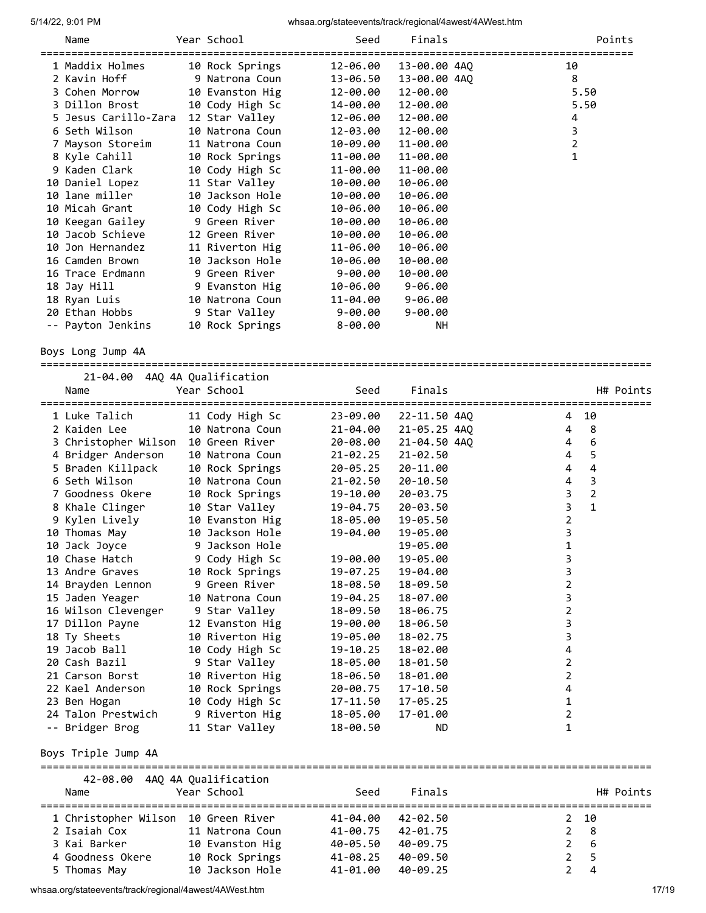| Name                 | Year School     | Seed        | Finals       | Points         |
|----------------------|-----------------|-------------|--------------|----------------|
| 1 Maddix Holmes      | 10 Rock Springs | 12-06.00    | 13-00.00 4AQ | 10             |
| 2 Kavin Hoff         | 9 Natrona Coun  | 13-06.50    | 13-00.00 4AQ | 8              |
| 3 Cohen Morrow       | 10 Evanston Hig | 12-00.00    | 12-00.00     | 5.50           |
| 3 Dillon Brost       | 10 Cody High Sc | 14-00.00    | 12-00.00     | 5.50           |
| 5 Jesus Carillo-Zara | 12 Star Valley  | 12-06.00    | 12-00.00     | 4              |
| 6 Seth Wilson        | 10 Natrona Coun | 12-03.00    | 12-00.00     | 3              |
| 7 Mayson Storeim     | 11 Natrona Coun | 10-09.00    | 11-00.00     | $\overline{2}$ |
| 8 Kyle Cahill        | 10 Rock Springs | 11-00.00    | 11-00.00     | $\mathbf{1}$   |
| 9 Kaden Clark        | 10 Cody High Sc | 11-00.00    | 11-00.00     |                |
| 10 Daniel Lopez      | 11 Star Valley  | 10-00.00    | 10-06.00     |                |
| 10 lane miller       | 10 Jackson Hole | 10-00.00    | 10-06.00     |                |
| 10 Micah Grant       | 10 Cody High Sc | 10-06.00    | 10-06.00     |                |
| 10 Keegan Gailey     | 9 Green River   | 10-00.00    | 10-06.00     |                |
| 10 Jacob Schieve     | 12 Green River  | 10-00.00    | 10-06.00     |                |
| 10 Jon Hernandez     | 11 Riverton Hig | 11-06.00    | 10-06.00     |                |
| 16 Camden Brown      | 10 Jackson Hole | 10-06.00    | 10-00.00     |                |
| 16 Trace Erdmann     | 9 Green River   | 9-00.00     | 10-00.00     |                |
| 18 Jay Hill          | 9 Evanston Hig  | 10-06.00    | $9 - 06.00$  |                |
| 18 Ryan Luis         | 10 Natrona Coun | 11-04.00    | $9 - 06.00$  |                |
| 20 Ethan Hobbs       | 9 Star Valley   | 9-00.00     | $9 - 00.00$  |                |
| -- Payton Jenkins    | 10 Rock Springs | $8 - 00.00$ | NH.          |                |
|                      |                 |             |              |                |
| Boys Long Jump 4A    |                 |             |              |                |
| 21.01.00.110.11.0    |                 |             |              |                |

| 21-04.00 4AQ 4A Qualification<br>Name | Year School     | Seed     | Finals       |                         | H# Points      |
|---------------------------------------|-----------------|----------|--------------|-------------------------|----------------|
| 1 Luke Talich                         | 11 Cody High Sc | 23-09.00 | 22-11.50 4AO | 4                       | 10             |
| 2 Kaiden Lee                          | 10 Natrona Coun | 21-04.00 | 21-05.25 4AO | 4                       | 8              |
| 3 Christopher Wilson                  | 10 Green River  | 20-08.00 | 21-04.50 4AO | 4                       | 6              |
| 4 Bridger Anderson                    | 10 Natrona Coun | 21-02.25 | $21 - 02.50$ | 4                       | 5              |
| 5 Braden Killpack                     | 10 Rock Springs | 20-05.25 | 20-11.00     | 4                       | $\overline{4}$ |
| 6 Seth Wilson                         | 10 Natrona Coun | 21-02.50 | 20-10.50     | 4                       | 3              |
| 7 Goodness Okere                      | 10 Rock Springs | 19-10.00 | 20-03.75     | 3                       | $\overline{2}$ |
| 8 Khale Clinger                       | 10 Star Valley  | 19-04.75 | $20 - 03.50$ | 3                       | $\mathbf{1}$   |
| 9 Kylen Lively                        | 10 Evanston Hig | 18-05.00 | 19-05.50     | 2                       |                |
| 10 Thomas May                         | 10 Jackson Hole | 19-04.00 | 19-05.00     | 3                       |                |
| 10 Jack Joyce                         | 9 Jackson Hole  |          | 19-05.00     | $\mathbf{1}$            |                |
| 10 Chase Hatch                        | 9 Cody High Sc  | 19-00.00 | 19-05.00     | 3                       |                |
| 13 Andre Graves                       | 10 Rock Springs | 19-07.25 | 19-04.00     | 3                       |                |
| 14 Brayden Lennon                     | 9 Green River   | 18-08.50 | 18-09.50     | $\overline{\mathbf{c}}$ |                |
| 15 Jaden Yeager                       | 10 Natrona Coun | 19-04.25 | 18-07.00     | 3                       |                |
| 16 Wilson Clevenger                   | 9 Star Valley   | 18-09.50 | 18-06.75     | $\overline{2}$          |                |
| 17 Dillon Payne                       | 12 Evanston Hig | 19-00.00 | 18-06.50     | 3                       |                |
| 18 Ty Sheets                          | 10 Riverton Hig | 19-05.00 | 18-02.75     | 3                       |                |
| 19 Jacob Ball                         | 10 Cody High Sc | 19-10.25 | 18-02.00     | 4                       |                |
| 20 Cash Bazil                         | 9 Star Valley   | 18-05.00 | 18-01.50     | 2                       |                |
| 21 Carson Borst                       | 10 Riverton Hig | 18-06.50 | 18-01.00     | $\overline{2}$          |                |
| 22 Kael Anderson                      | 10 Rock Springs | 20-00.75 | $17 - 10.50$ | 4                       |                |
| 23 Ben Hogan                          | 10 Cody High Sc | 17-11.50 | $17 - 05.25$ | 1                       |                |
| 24 Talon Prestwich                    | 9 Riverton Hig  | 18-05.00 | 17-01.00     | 2                       |                |
| -- Bridger Brog                       | 11 Star Valley  | 18-00.50 | <b>ND</b>    | 1                       |                |

# Boys Triple Jump 4A

| Name             | 42-08.00 4AO 4A Oualification<br>Year School | Seed     | Finals   |         | H# Points |
|------------------|----------------------------------------------|----------|----------|---------|-----------|
|                  | 1 Christopher Wilson 10 Green River          | 41-04.00 | 42-02.50 | 2 10    |           |
| 2 Isaiah Cox     | 11 Natrona Coun                              | 41-00.75 | 42-01.75 | 2<br>-8 |           |
| 3 Kai Barker     | 10 Evanston Hig                              | 40-05.50 | 40-09.75 | -6      |           |
| 4 Goodness Okere | 10 Rock Springs                              | 41-08.25 | 40-09.50 | -5      |           |
| 5 Thomas May     | 10 Jackson Hole                              | 41-01.00 | 40-09.25 | 4       |           |

whsaa.org/stateevents/track/regional/4awest/4AWest.htm 17/19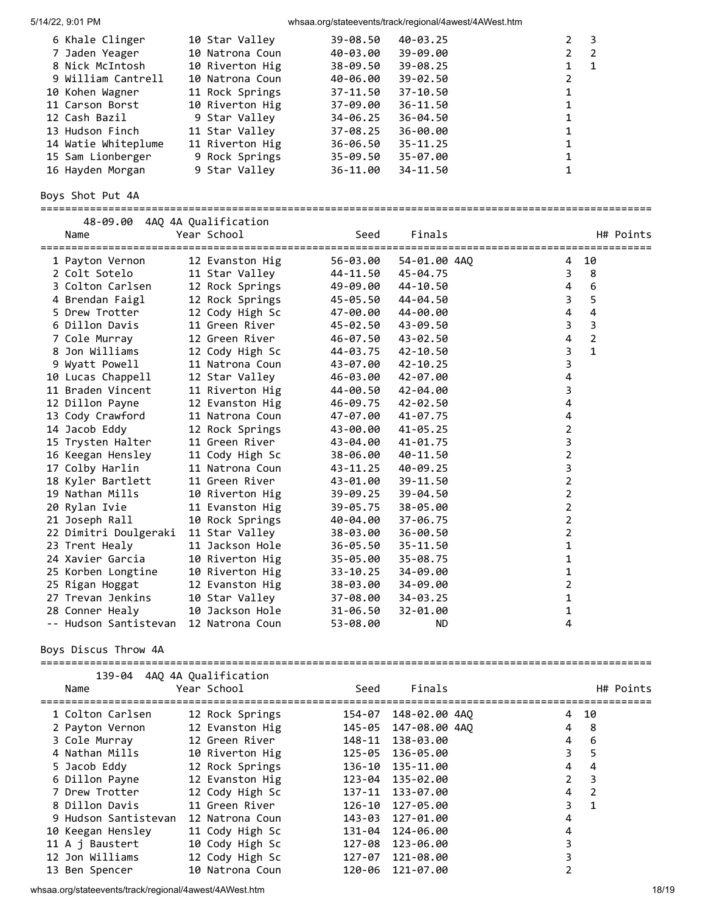| 6 Khale Clinger     | 10 Star Valley  | 39-08.50     | 40-03.25     | - 3                           |
|---------------------|-----------------|--------------|--------------|-------------------------------|
| 7 Jaden Yeager      | 10 Natrona Coun | 40-03.00     | 39-09.00     | $2^{\circ}$<br>$\overline{2}$ |
| 8 Nick McIntosh     | 10 Riverton Hig | 38-09.50     | $39 - 08.25$ | 1<br>$\overline{1}$           |
| 9 William Cantrell  | 10 Natrona Coun | 40-06.00     | $39 - 02.50$ | 2                             |
| 10 Kohen Wagner     | 11 Rock Springs | 37-11.50     | $37 - 10.50$ |                               |
| 11 Carson Borst     | 10 Riverton Hig | 37-09.00     | $36 - 11.50$ |                               |
| 12 Cash Bazil       | 9 Star Valley   | 34-06.25     | $36 - 04.50$ |                               |
| 13 Hudson Finch     | 11 Star Valley  | $37 - 08.25$ | $36 - 00.00$ |                               |
| 14 Watie Whiteplume | 11 Riverton Hig | 36-06.50     | $35 - 11.25$ |                               |
| 15 Sam Lionberger   | 9 Rock Springs  | $35 - 09.50$ | $35 - 07.00$ |                               |
| 16 Hayden Morgan    | 9 Star Valley   | 36-11.00     | 34-11.50     |                               |
|                     |                 |              |              |                               |

Boys Shot Put 4A

| 48-09.00 4AQ 4A Qualification<br>Name | Year School     | Seed     | Finals       | H# Points<br>==================================== |
|---------------------------------------|-----------------|----------|--------------|---------------------------------------------------|
| 1 Payton Vernon                       | 12 Evanston Hig | 56-03.00 | 54-01.00 4AO | 10<br>4                                           |
| 2 Colt Sotelo                         | 11 Star Valley  | 44-11.50 | 45-04.75     | 8<br>3                                            |
| 3 Colton Carlsen                      | 12 Rock Springs | 49-09.00 | 44-10.50     | $6\phantom{1}6$<br>$\overline{4}$                 |
| 4 Brendan Faigl                       | 12 Rock Springs | 45-05.50 | 44-04.50     | 5<br>3                                            |
| 5 Drew Trotter                        | 12 Cody High Sc | 47-00.00 | 44-00.00     | $\overline{4}$<br>4                               |
| 6 Dillon Davis                        | 11 Green River  | 45-02.50 | 43-09.50     | 3<br>3                                            |
| 7 Cole Murray                         | 12 Green River  | 46-07.50 | 43-02.50     | $\overline{2}$<br>4                               |
| 8 Jon Williams                        | 12 Cody High Sc | 44-03.75 | 42-10.50     | $\mathbf{1}$<br>3                                 |
| 9 Wyatt Powell                        | 11 Natrona Coun | 43-07.00 | $42 - 10.25$ | 3                                                 |
| 10 Lucas Chappell                     | 12 Star Valley  | 46-03.00 | 42-07.00     | 4                                                 |
| 11 Braden Vincent                     | 11 Riverton Hig | 44-00.50 | 42-04.00     | 3                                                 |
| 12 Dillon Payne                       | 12 Evanston Hig | 46-09.75 | 42-02.50     | 4                                                 |
| 13 Cody Crawford                      | 11 Natrona Coun | 47-07.00 | 41-07.75     | 4                                                 |
| 14 Jacob Eddy                         | 12 Rock Springs | 43-00.00 | $41 - 05.25$ | 2                                                 |
| 15 Trysten Halter                     | 11 Green River  | 43-04.00 | 41-01.75     | 3                                                 |
| 16 Keegan Hensley                     | 11 Cody High Sc | 38-06.00 | 40-11.50     | $\overline{2}$                                    |
| 17 Colby Harlin                       | 11 Natrona Coun | 43-11.25 | 40-09.25     | 3                                                 |
| 18 Kyler Bartlett                     | 11 Green River  | 43-01.00 | 39-11.50     | $\overline{2}$                                    |
| 19 Nathan Mills                       | 10 Riverton Hig | 39-09.25 | 39-04.50     | 2                                                 |
| 20 Rylan Ivie                         | 11 Evanston Hig | 39-05.75 | 38-05.00     | $\overline{2}$                                    |
| 21 Joseph Rall                        | 10 Rock Springs | 40-04.00 | 37-06.75     | $\overline{2}$                                    |
| 22 Dimitri Doulgeraki                 | 11 Star Valley  | 38-03.00 | 36-00.50     | $\overline{2}$                                    |
| 23 Trent Healy                        | 11 Jackson Hole | 36-05.50 | $35 - 11.50$ | 1                                                 |
| 24 Xavier Garcia                      | 10 Riverton Hig | 35-05.00 | 35-08.75     | 1                                                 |
| 25 Korben Longtine                    | 10 Riverton Hig | 33-10.25 | 34-09.00     | 1                                                 |
| 25 Rigan Hoggat                       | 12 Evanston Hig | 38-03.00 | 34-09.00     | $\overline{2}$                                    |
| 27 Trevan Jenkins                     | 10 Star Valley  | 37-08.00 | 34-03.25     | 1                                                 |
| 28 Conner Healy                       | 10 Jackson Hole | 31-06.50 | 32-01.00     | 1                                                 |
| -- Hudson Santistevan                 | 12 Natrona Coun | 53-08.00 | <b>ND</b>    | 4                                                 |

Boys Discus Throw 4A

| 139-04<br>Name       | 4AO 4A Oualification<br>Year School | Seed   | Finals           | H# Points         |
|----------------------|-------------------------------------|--------|------------------|-------------------|
| 1 Colton Carlsen     | 12 Rock Springs                     | 154-07 | 148-02.00 4AO    | 4<br>10           |
| 2 Payton Vernon      | 12 Evanston Hig                     | 145-05 | 147-08.00 4AO    | 4<br>8            |
| 3 Cole Murray        | 12 Green River                      | 148-11 | 138-03.00        | 4<br>6            |
| 4 Nathan Mills       | 10 Riverton Hig                     |        | 125-05 136-05.00 | 3<br>5            |
| 5 Jacob Eddy         | 12 Rock Springs                     | 136-10 | 135-11.00        | 4<br>4            |
| 6 Dillon Payne       | 12 Evanston Hig                     | 123-04 | 135-02.00        | 2<br>3            |
| 7 Drew Trotter       | 12 Cody High Sc                     | 137-11 | 133-07.00        | 4<br>2            |
| 8 Dillon Davis       | 11 Green River                      | 126-10 | 127-05.00        | 3<br>$\mathbf{1}$ |
| 9 Hudson Santistevan | 12 Natrona Coun                     | 143-03 | 127-01.00        | 4                 |
| 10 Keegan Hensley    | 11 Cody High Sc                     | 131-04 | 124-06.00        | 4                 |
| 11 A j Baustert      | 10 Cody High Sc                     | 127-08 | 123-06.00        | 3                 |
| 12 Jon Williams      | 12 Cody High Sc                     | 127-07 | 121-08.00        |                   |
| 13 Ben Spencer       | 10 Natrona Coun                     |        | 120-06 121-07.00 |                   |

whsaa.org/stateevents/track/regional/4awest/4AWest.htm 18/19